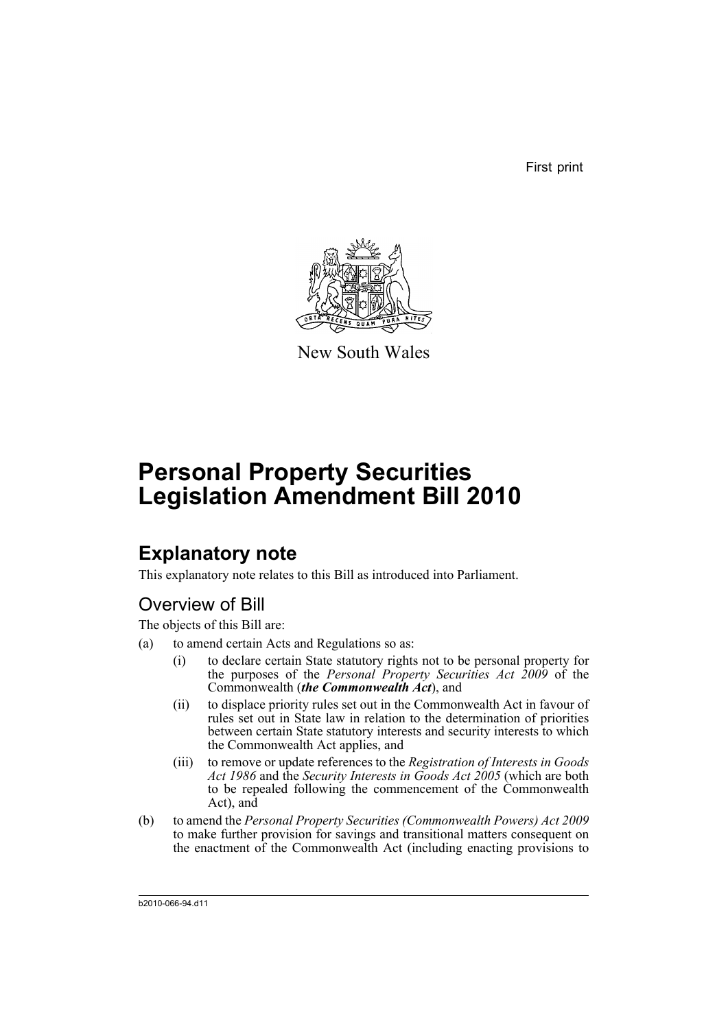First print



New South Wales

# **Personal Property Securities Legislation Amendment Bill 2010**

## **Explanatory note**

This explanatory note relates to this Bill as introduced into Parliament.

## Overview of Bill

The objects of this Bill are:

- (a) to amend certain Acts and Regulations so as:
	- (i) to declare certain State statutory rights not to be personal property for the purposes of the *Personal Property Securities Act 2009* of the Commonwealth (*the Commonwealth Act*), and
	- (ii) to displace priority rules set out in the Commonwealth Act in favour of rules set out in State law in relation to the determination of priorities between certain State statutory interests and security interests to which the Commonwealth Act applies, and
	- (iii) to remove or update references to the *Registration of Interests in Goods Act 1986* and the *Security Interests in Goods Act 2005* (which are both to be repealed following the commencement of the Commonwealth Act), and
- (b) to amend the *Personal Property Securities (Commonwealth Powers) Act 2009* to make further provision for savings and transitional matters consequent on the enactment of the Commonwealth Act (including enacting provisions to

b2010-066-94.d11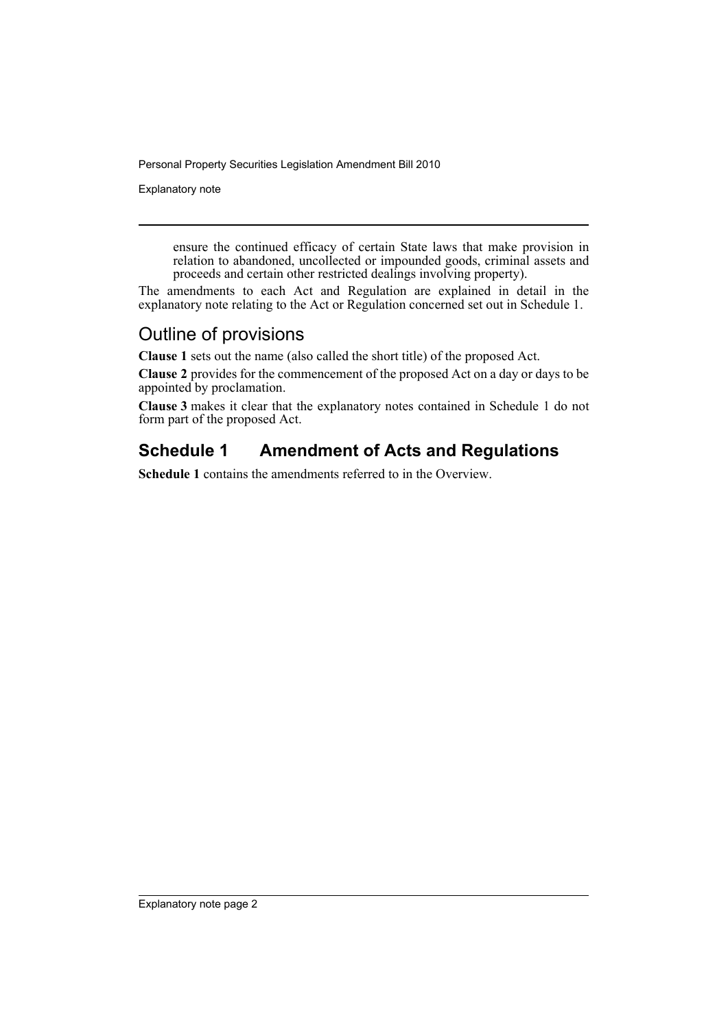Explanatory note

ensure the continued efficacy of certain State laws that make provision in relation to abandoned, uncollected or impounded goods, criminal assets and proceeds and certain other restricted dealings involving property).

The amendments to each Act and Regulation are explained in detail in the explanatory note relating to the Act or Regulation concerned set out in Schedule 1.

## Outline of provisions

**Clause 1** sets out the name (also called the short title) of the proposed Act.

**Clause 2** provides for the commencement of the proposed Act on a day or days to be appointed by proclamation.

**Clause 3** makes it clear that the explanatory notes contained in Schedule 1 do not form part of the proposed Act.

## **Schedule 1 Amendment of Acts and Regulations**

**Schedule 1** contains the amendments referred to in the Overview.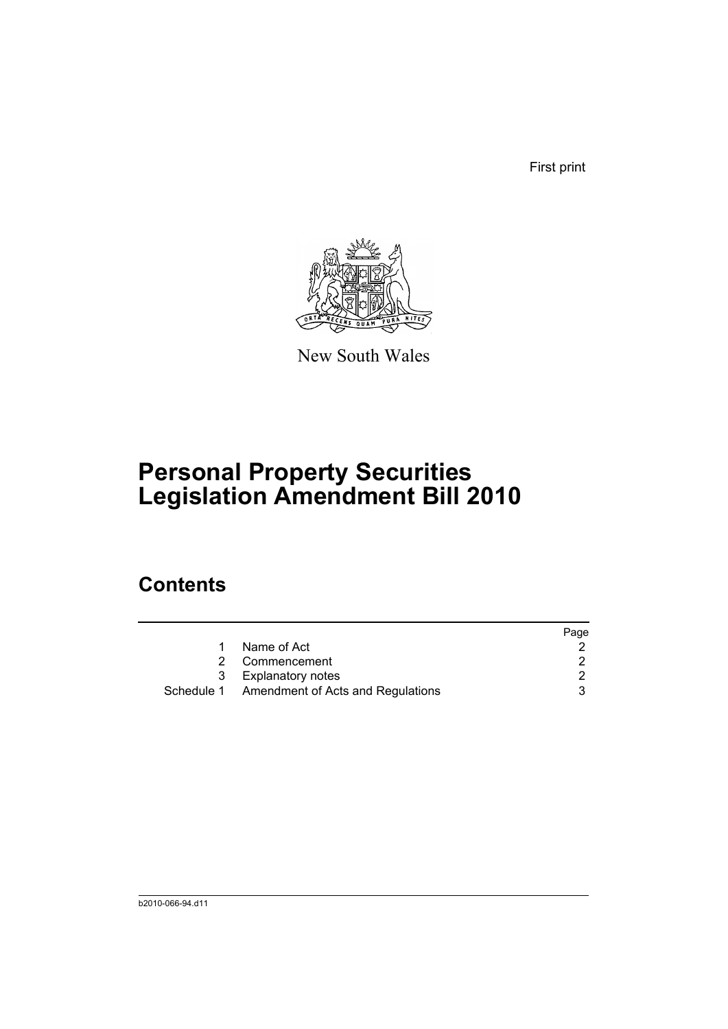First print



New South Wales

# **Personal Property Securities Legislation Amendment Bill 2010**

## **Contents**

|   |                                              | Page |
|---|----------------------------------------------|------|
|   | Name of Act                                  |      |
| 2 | Commencement                                 |      |
| 3 | <b>Explanatory notes</b>                     |      |
|   | Schedule 1 Amendment of Acts and Regulations |      |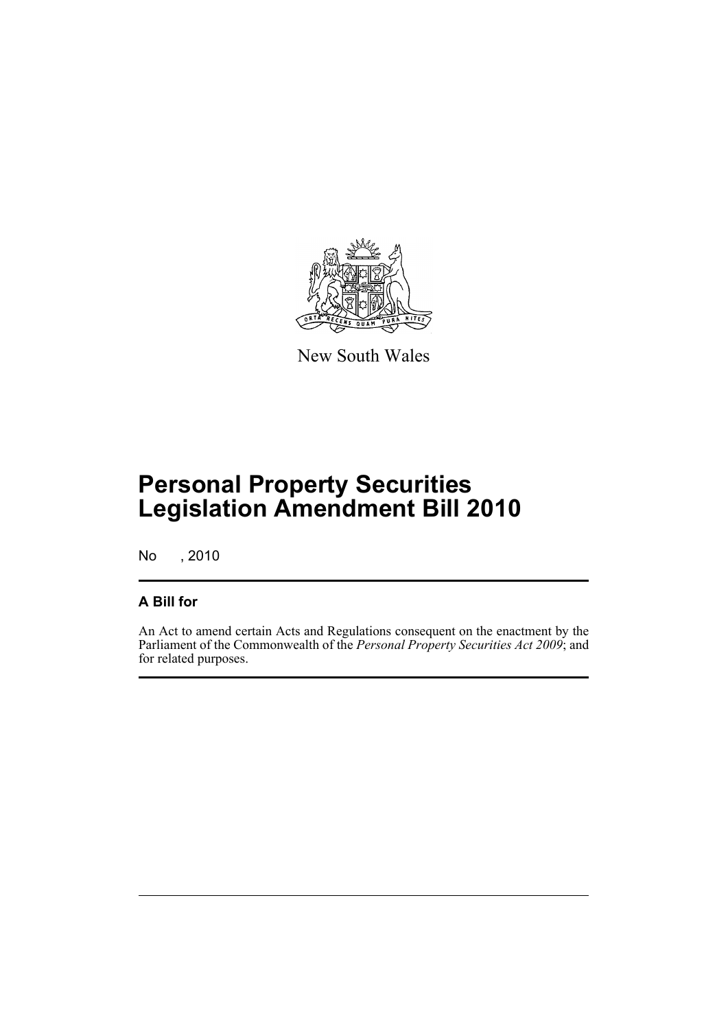

New South Wales

## **Personal Property Securities Legislation Amendment Bill 2010**

No , 2010

## **A Bill for**

An Act to amend certain Acts and Regulations consequent on the enactment by the Parliament of the Commonwealth of the *Personal Property Securities Act 2009*; and for related purposes.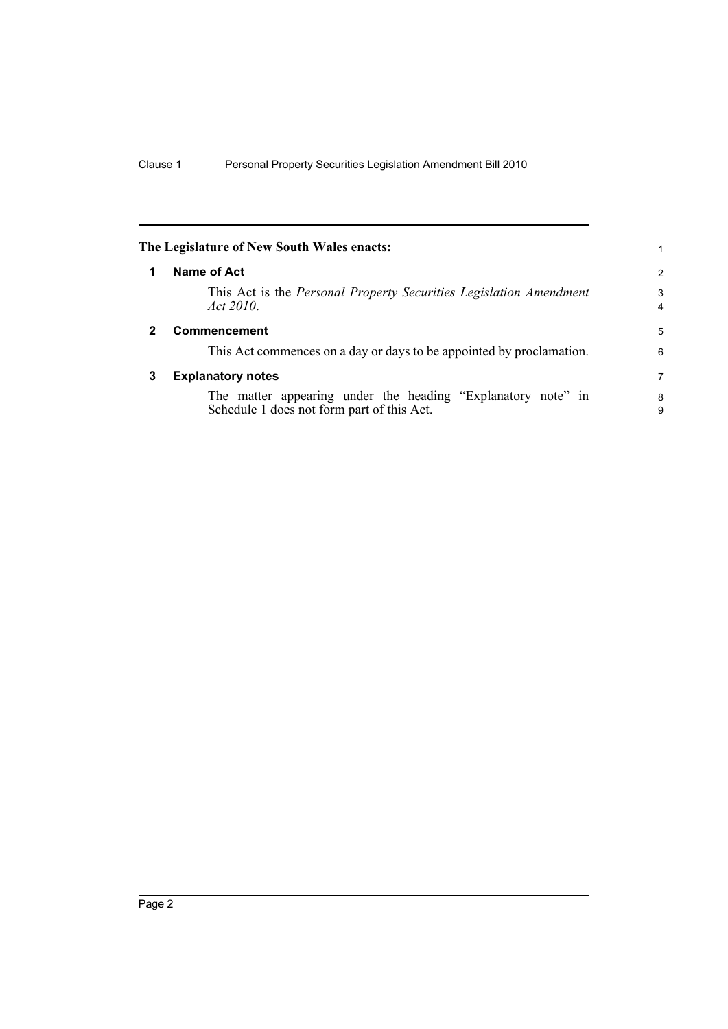<span id="page-5-2"></span><span id="page-5-1"></span><span id="page-5-0"></span>

|              | The Legislature of New South Wales enacts:                                                                 |                     |
|--------------|------------------------------------------------------------------------------------------------------------|---------------------|
| 1            | Name of Act                                                                                                | 2                   |
|              | This Act is the <i>Personal Property Securities Legislation Amendment</i><br>Act 2010                      | 3<br>$\overline{4}$ |
| $\mathbf{2}$ | Commencement                                                                                               | 5                   |
|              | This Act commences on a day or days to be appointed by proclamation.                                       | 6                   |
| 3            | <b>Explanatory notes</b>                                                                                   | 7                   |
|              | The matter appearing under the heading "Explanatory note" in<br>Schedule 1 does not form part of this Act. | 8<br>9              |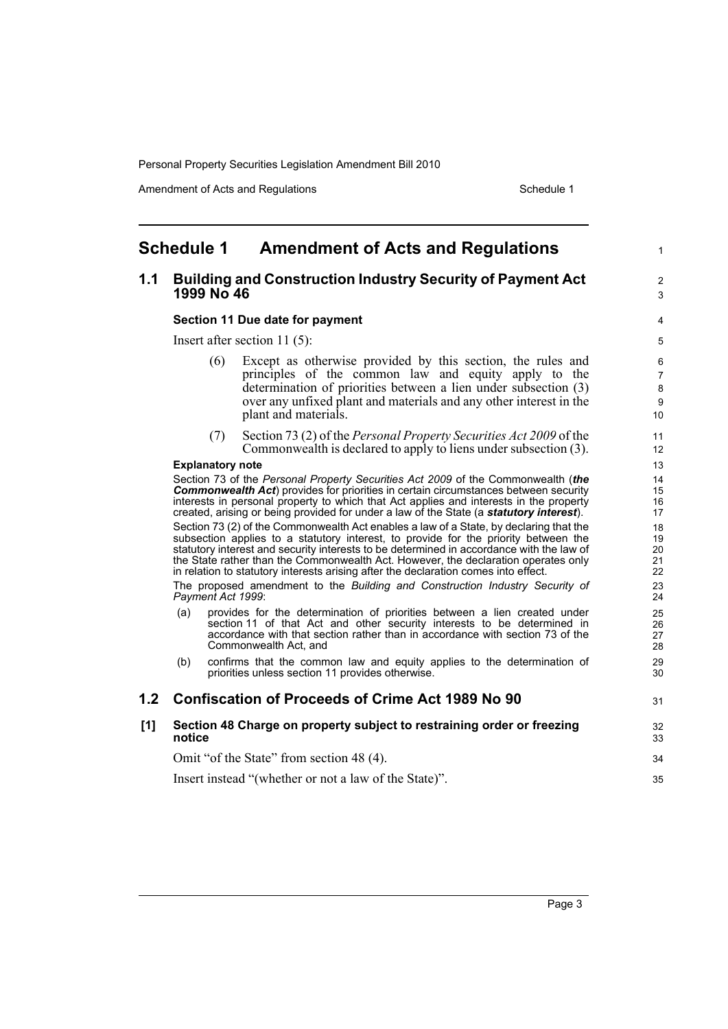Amendment of Acts and Regulations Schedule 1

1

 $\overline{2}$ 3

31

### <span id="page-6-0"></span>**Schedule 1 Amendment of Acts and Regulations**

### **1.1 Building and Construction Industry Security of Payment Act 1999 No 46**

#### **Section 11 Due date for payment**

Insert after section 11 (5):

- (6) Except as otherwise provided by this section, the rules and principles of the common law and equity apply to the determination of priorities between a lien under subsection (3) over any unfixed plant and materials and any other interest in the plant and materials.
- (7) Section 73 (2) of the *Personal Property Securities Act 2009* of the Commonwealth is declared to apply to liens under subsection (3).

#### **Explanatory note**

Section 73 of the *Personal Property Securities Act 2009* of the Commonwealth (*the* **Commonwealth Act**) provides for priorities in certain circumstances between security interests in personal property to which that Act applies and interests in the property created, arising or being provided for under a law of the State (a *statutory interest*).

Section 73 (2) of the Commonwealth Act enables a law of a State, by declaring that the subsection applies to a statutory interest, to provide for the priority between the statutory interest and security interests to be determined in accordance with the law of the State rather than the Commonwealth Act. However, the declaration operates only in relation to statutory interests arising after the declaration comes into effect.

The proposed amendment to the *Building and Construction Industry Security of Payment Act 1999*:

- (a) provides for the determination of priorities between a lien created under section 11 of that Act and other security interests to be determined in accordance with that section rather than in accordance with section 73 of the Commonwealth Act, and
- (b) confirms that the common law and equity applies to the determination of priorities unless section 11 provides otherwise.

#### **1.2 Confiscation of Proceeds of Crime Act 1989 No 90**

#### **[1] Section 48 Charge on property subject to restraining order or freezing notice**

Omit "of the State" from section 48 (4).

Insert instead "(whether or not a law of the State)".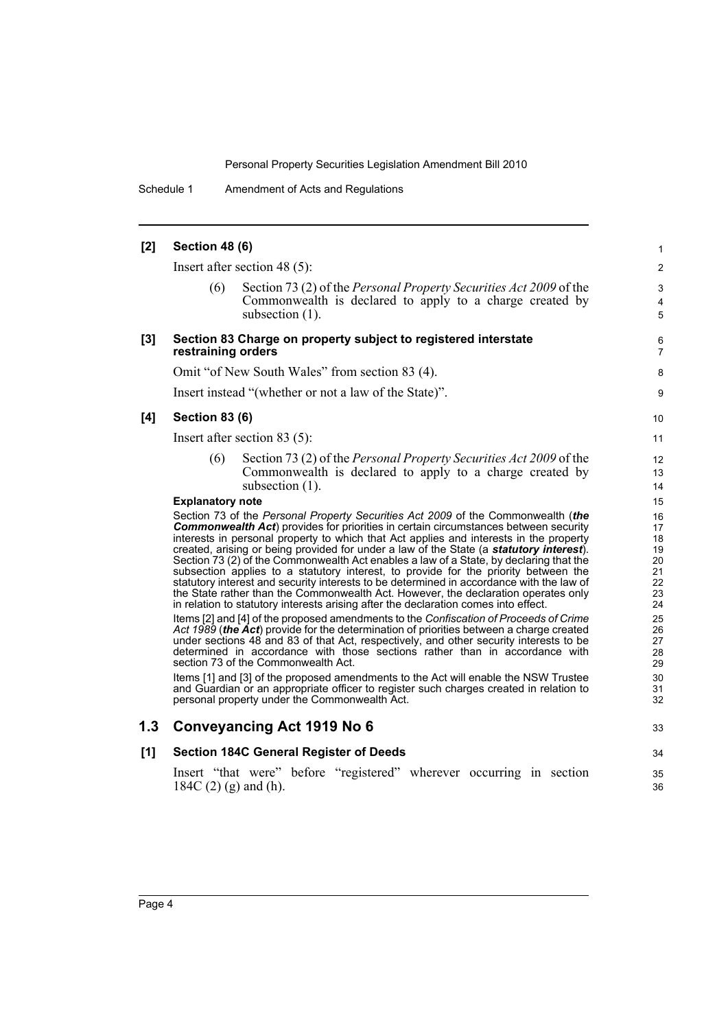Schedule 1 Amendment of Acts and Regulations

#### **[2] Section 48 (6)** Insert after section 48 (5): (6) Section 73 (2) of the *Personal Property Securities Act 2009* of the Commonwealth is declared to apply to a charge created by subsection (1). **[3] Section 83 Charge on property subject to registered interstate restraining orders** Omit "of New South Wales" from section 83 (4). Insert instead "(whether or not a law of the State)". **[4] Section 83 (6)** Insert after section 83 (5): (6) Section 73 (2) of the *Personal Property Securities Act 2009* of the Commonwealth is declared to apply to a charge created by subsection (1). **Explanatory note** Section 73 of the *Personal Property Securities Act 2009* of the Commonwealth (*the* **Commonwealth Act**) provides for priorities in certain circumstances between security interests in personal property to which that Act applies and interests in the property created, arising or being provided for under a law of the State (a *statutory interest*). Section 73 (2) of the Commonwealth Act enables a law of a State, by declaring that the subsection applies to a statutory interest, to provide for the priority between the statutory interest and security interests to be determined in accordance with the law of the State rather than the Commonwealth Act. However, the declaration operates only in relation to statutory interests arising after the declaration comes into effect. Items [2] and [4] of the proposed amendments to the *Confiscation of Proceeds of Crime Act 1989* (*the Act*) provide for the determination of priorities between a charge created under sections 48 and 83 of that Act, respectively, and other security interests to be determined in accordance with those sections rather than in accordance with section 73 of the Commonwealth Act. Items [1] and [3] of the proposed amendments to the Act will enable the NSW Trustee and Guardian or an appropriate officer to register such charges created in relation to personal property under the Commonwealth Act. **1.3 Conveyancing Act 1919 No 6 [1] Section 184C General Register of Deeds** Insert "that were" before "registered" wherever occurring in section 184C (2) (g) and (h). 1 2 3 4 5 6 7 8 **9** 10 11 12 13 14 15 16 17 18 19 20 21 22 23 24 25 26 27 28 29 30 31 32 33 34 35 36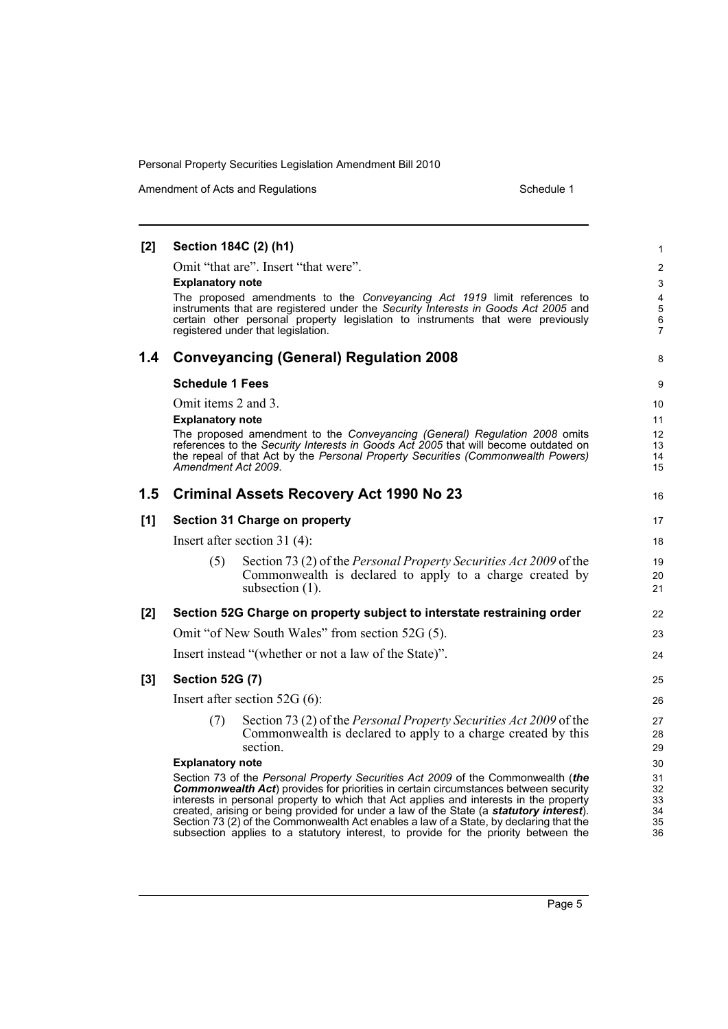Amendment of Acts and Regulations Schedule 1

#### **[2] Section 184C (2) (h1)** Omit "that are". Insert "that were". **Explanatory note** The proposed amendments to the *Conveyancing Act 1919* limit references to instruments that are registered under the *Security Interests in Goods Act 2005* and certain other personal property legislation to instruments that were previously registered under that legislation. **1.4 Conveyancing (General) Regulation 2008 Schedule 1 Fees** Omit items 2 and 3. **Explanatory note** The proposed amendment to the *Conveyancing (General) Regulation 2008* omits references to the *Security Interests in Goods Act 2005* that will become outdated on the repeal of that Act by the *Personal Property Securities (Commonwealth Powers) Amendment Act 2009*. **1.5 Criminal Assets Recovery Act 1990 No 23 [1] Section 31 Charge on property** Insert after section 31 (4): (5) Section 73 (2) of the *Personal Property Securities Act 2009* of the Commonwealth is declared to apply to a charge created by subsection (1). **[2] Section 52G Charge on property subject to interstate restraining order** Omit "of New South Wales" from section 52G (5). Insert instead "(whether or not a law of the State)". **[3] Section 52G (7)** Insert after section 52G (6): (7) Section 73 (2) of the *Personal Property Securities Act 2009* of the Commonwealth is declared to apply to a charge created by this section. **Explanatory note** Section 73 of the *Personal Property Securities Act 2009* of the Commonwealth (*the* **Commonwealth Act**) provides for priorities in certain circumstances between security interests in personal property to which that Act applies and interests in the property created, arising or being provided for under a law of the State (a *statutory interest*). Section 73 (2) of the Commonwealth Act enables a law of a State, by declaring that the subsection applies to a statutory interest, to provide for the priority between the 1 2 3 4 5 6 7 8 9 10 11 12 13 14 15 16 17 18 19 20 21 22 23 24 25 26 27 28 29 30 31 32 33 34 35 36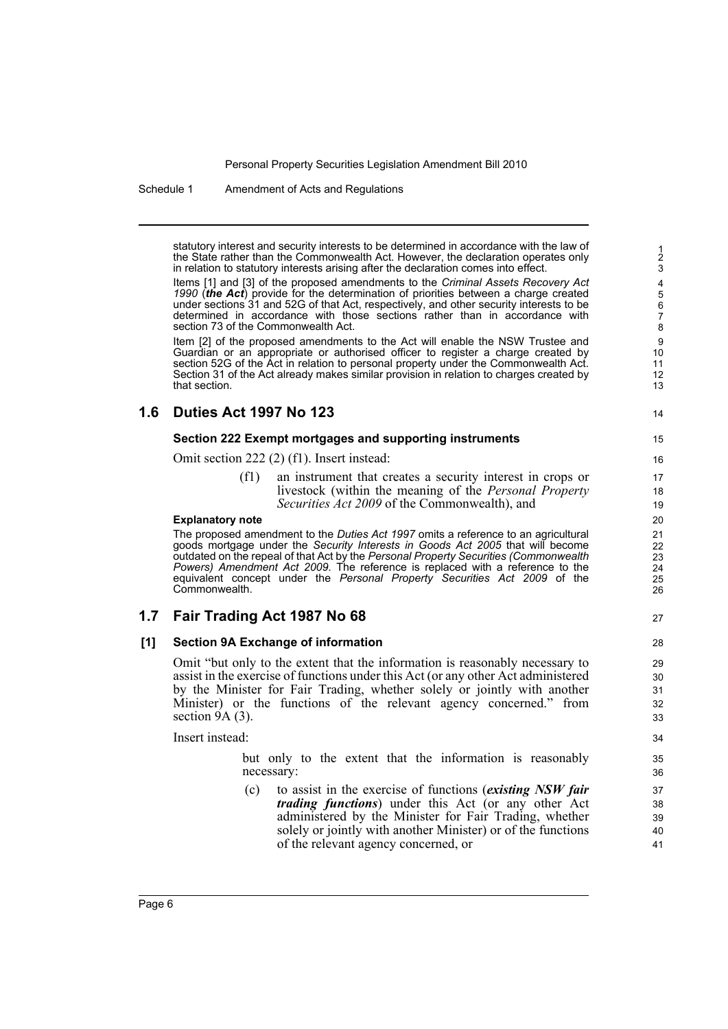Schedule 1 Amendment of Acts and Regulations

statutory interest and security interests to be determined in accordance with the law of the State rather than the Commonwealth Act. However, the declaration operates only in relation to statutory interests arising after the declaration comes into effect.

Items [1] and [3] of the proposed amendments to the *Criminal Assets Recovery Act 1990* (*the Act*) provide for the determination of priorities between a charge created under sections 31 and 52G of that Act, respectively, and other security interests to be determined in accordance with those sections rather than in accordance with section 73 of the Commonwealth Act.

Item [2] of the proposed amendments to the Act will enable the NSW Trustee and Guardian or an appropriate or authorised officer to register a charge created by section 52G of the Act in relation to personal property under the Commonwealth Act. Section 31 of the Act already makes similar provision in relation to charges created by that section.

### **1.6 Duties Act 1997 No 123**

#### **Section 222 Exempt mortgages and supporting instruments**

Omit section 222 (2) (f1). Insert instead:

(f1) an instrument that creates a security interest in crops or livestock (within the meaning of the *Personal Property Securities Act 2009* of the Commonwealth), and

#### **Explanatory note**

The proposed amendment to the *Duties Act 1997* omits a reference to an agricultural goods mortgage under the *Security Interests in Goods Act 2005* that will become outdated on the repeal of that Act by the *Personal Property Securities (Commonwealth Powers) Amendment Act 2009*. The reference is replaced with a reference to the equivalent concept under the *Personal Property Securities Act 2009* of the Commonwealth.

### **1.7 Fair Trading Act 1987 No 68**

#### **[1] Section 9A Exchange of information**

Omit "but only to the extent that the information is reasonably necessary to assist in the exercise of functions under this Act (or any other Act administered by the Minister for Fair Trading, whether solely or jointly with another Minister) or the functions of the relevant agency concerned." from section  $9A(3)$ .

Insert instead:

but only to the extent that the information is reasonably necessary:

(c) to assist in the exercise of functions (*existing NSW fair trading functions*) under this Act (or any other Act administered by the Minister for Fair Trading, whether solely or jointly with another Minister) or of the functions of the relevant agency concerned, or

14

34

33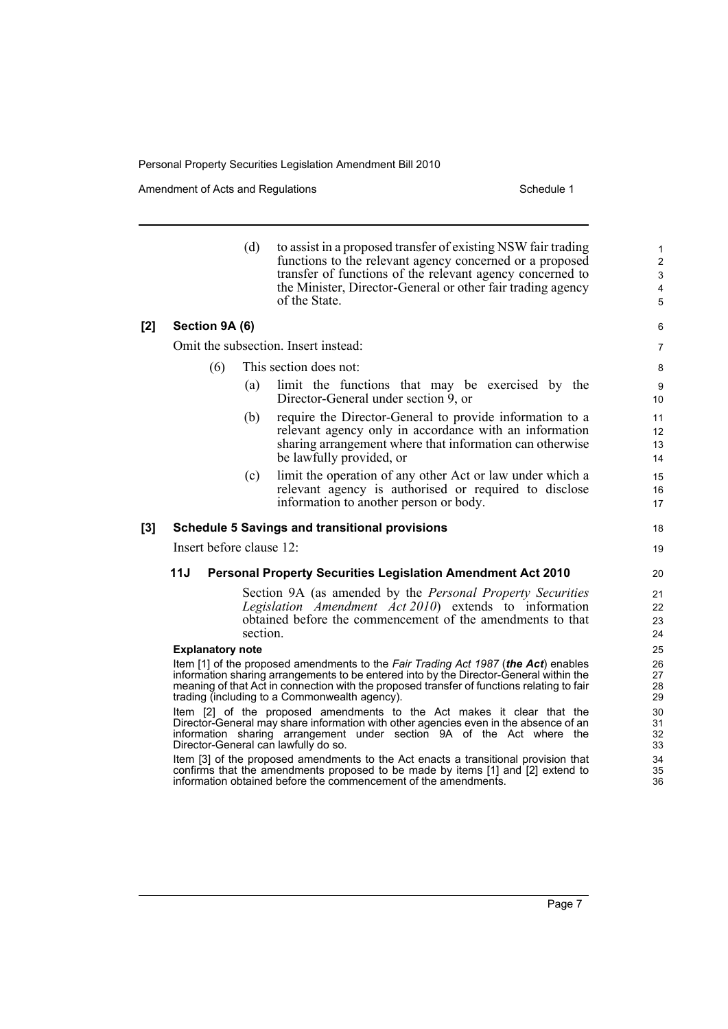|     |                          | (d)      | to assist in a proposed transfer of existing NSW fair trading<br>functions to the relevant agency concerned or a proposed<br>transfer of functions of the relevant agency concerned to<br>the Minister, Director-General or other fair trading agency<br>of the State.                                                                                                                                                                                                                                                                                                                                                                                                                                                                                                                                                                                                                                                                                                                                                                                   | $\mathbf{1}$<br>$\overline{2}$<br>$\mathsf 3$<br>$\overline{\mathbf{4}}$<br>5                |  |
|-----|--------------------------|----------|----------------------------------------------------------------------------------------------------------------------------------------------------------------------------------------------------------------------------------------------------------------------------------------------------------------------------------------------------------------------------------------------------------------------------------------------------------------------------------------------------------------------------------------------------------------------------------------------------------------------------------------------------------------------------------------------------------------------------------------------------------------------------------------------------------------------------------------------------------------------------------------------------------------------------------------------------------------------------------------------------------------------------------------------------------|----------------------------------------------------------------------------------------------|--|
| [2] | Section 9A (6)           |          |                                                                                                                                                                                                                                                                                                                                                                                                                                                                                                                                                                                                                                                                                                                                                                                                                                                                                                                                                                                                                                                          | 6                                                                                            |  |
|     |                          |          | Omit the subsection. Insert instead:                                                                                                                                                                                                                                                                                                                                                                                                                                                                                                                                                                                                                                                                                                                                                                                                                                                                                                                                                                                                                     | $\overline{7}$                                                                               |  |
|     | (6)                      |          | This section does not:                                                                                                                                                                                                                                                                                                                                                                                                                                                                                                                                                                                                                                                                                                                                                                                                                                                                                                                                                                                                                                   | 8                                                                                            |  |
|     |                          | (a)      | limit the functions that may be exercised by the<br>Director-General under section 9, or                                                                                                                                                                                                                                                                                                                                                                                                                                                                                                                                                                                                                                                                                                                                                                                                                                                                                                                                                                 | 9<br>10                                                                                      |  |
|     |                          | (b)      | require the Director-General to provide information to a<br>relevant agency only in accordance with an information<br>sharing arrangement where that information can otherwise<br>be lawfully provided, or                                                                                                                                                                                                                                                                                                                                                                                                                                                                                                                                                                                                                                                                                                                                                                                                                                               | 11<br>12<br>13<br>14                                                                         |  |
|     |                          | (c)      | limit the operation of any other Act or law under which a<br>relevant agency is authorised or required to disclose<br>information to another person or body.                                                                                                                                                                                                                                                                                                                                                                                                                                                                                                                                                                                                                                                                                                                                                                                                                                                                                             | 15<br>16<br>17                                                                               |  |
| [3] |                          |          | <b>Schedule 5 Savings and transitional provisions</b>                                                                                                                                                                                                                                                                                                                                                                                                                                                                                                                                                                                                                                                                                                                                                                                                                                                                                                                                                                                                    | 18                                                                                           |  |
|     | Insert before clause 12: |          |                                                                                                                                                                                                                                                                                                                                                                                                                                                                                                                                                                                                                                                                                                                                                                                                                                                                                                                                                                                                                                                          |                                                                                              |  |
|     | 11J                      |          | <b>Personal Property Securities Legislation Amendment Act 2010</b>                                                                                                                                                                                                                                                                                                                                                                                                                                                                                                                                                                                                                                                                                                                                                                                                                                                                                                                                                                                       | 20                                                                                           |  |
|     | <b>Explanatory note</b>  | section. | Section 9A (as amended by the <i>Personal Property Securities</i><br>Legislation Amendment Act 2010) extends to information<br>obtained before the commencement of the amendments to that<br>Item [1] of the proposed amendments to the Fair Trading Act 1987 (the Act) enables<br>information sharing arrangements to be entered into by the Director-General within the<br>meaning of that Act in connection with the proposed transfer of functions relating to fair<br>trading (including to a Commonwealth agency).<br>Item [2] of the proposed amendments to the Act makes it clear that the<br>Director-General may share information with other agencies even in the absence of an<br>information sharing arrangement under section 9A of the Act where the<br>Director-General can lawfully do so.<br>Item [3] of the proposed amendments to the Act enacts a transitional provision that<br>confirms that the amendments proposed to be made by items [1] and [2] extend to<br>information obtained before the commencement of the amendments. | 21<br>22<br>23<br>24<br>25<br>26<br>27<br>28<br>29<br>30<br>31<br>32<br>33<br>34<br>35<br>36 |  |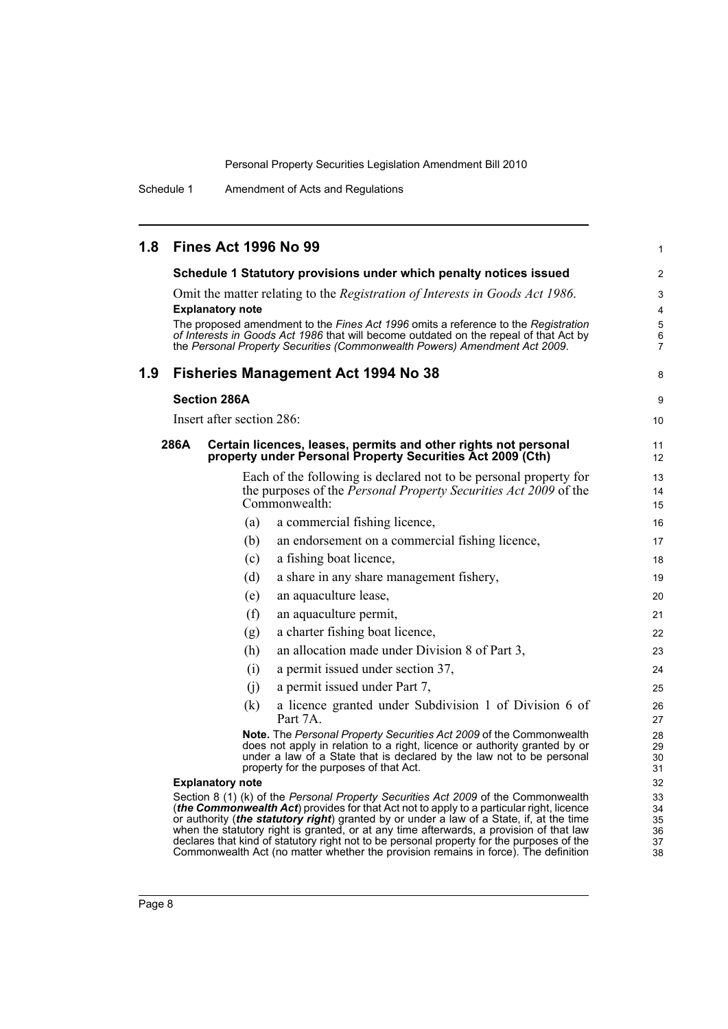Schedule 1 Amendment of Acts and Regulations

| 1.8 |      |                     |                           | <b>Fines Act 1996 No 99</b>                                                                                                                                                                                                                                                                                                                                                                                                                                        | 1                                        |
|-----|------|---------------------|---------------------------|--------------------------------------------------------------------------------------------------------------------------------------------------------------------------------------------------------------------------------------------------------------------------------------------------------------------------------------------------------------------------------------------------------------------------------------------------------------------|------------------------------------------|
|     |      |                     |                           | Schedule 1 Statutory provisions under which penalty notices issued                                                                                                                                                                                                                                                                                                                                                                                                 | $\overline{2}$                           |
|     |      |                     | <b>Explanatory note</b>   | Omit the matter relating to the Registration of Interests in Goods Act 1986.<br>The proposed amendment to the Fines Act 1996 omits a reference to the Registration<br>of Interests in Goods Act 1986 that will become outdated on the repeal of that Act by<br>the Personal Property Securities (Commonwealth Powers) Amendment Act 2009.                                                                                                                          | 3<br>4<br>5<br>$\,6\,$<br>$\overline{7}$ |
| 1.9 |      |                     |                           | <b>Fisheries Management Act 1994 No 38</b>                                                                                                                                                                                                                                                                                                                                                                                                                         | 8                                        |
|     |      | <b>Section 286A</b> |                           |                                                                                                                                                                                                                                                                                                                                                                                                                                                                    | 9                                        |
|     |      |                     | Insert after section 286: |                                                                                                                                                                                                                                                                                                                                                                                                                                                                    | 10                                       |
|     | 286A |                     |                           | Certain licences, leases, permits and other rights not personal<br>property under Personal Property Securities Act 2009 (Cth)                                                                                                                                                                                                                                                                                                                                      | 11<br>12                                 |
|     |      |                     |                           | Each of the following is declared not to be personal property for<br>the purposes of the <i>Personal Property Securities Act 2009</i> of the<br>Commonwealth:                                                                                                                                                                                                                                                                                                      | 13<br>14<br>15                           |
|     |      |                     | (a)                       | a commercial fishing licence,                                                                                                                                                                                                                                                                                                                                                                                                                                      | 16                                       |
|     |      |                     | (b)                       | an endorsement on a commercial fishing licence,                                                                                                                                                                                                                                                                                                                                                                                                                    | 17                                       |
|     |      |                     | (c)                       | a fishing boat licence,                                                                                                                                                                                                                                                                                                                                                                                                                                            | 18                                       |
|     |      |                     | (d)                       | a share in any share management fishery,                                                                                                                                                                                                                                                                                                                                                                                                                           | 19                                       |
|     |      |                     | (e)                       | an aquaculture lease,                                                                                                                                                                                                                                                                                                                                                                                                                                              | 20                                       |
|     |      |                     | (f)                       | an aquaculture permit,                                                                                                                                                                                                                                                                                                                                                                                                                                             | 21                                       |
|     |      |                     | (g)                       | a charter fishing boat licence,                                                                                                                                                                                                                                                                                                                                                                                                                                    | 22                                       |
|     |      |                     | (h)                       | an allocation made under Division 8 of Part 3,                                                                                                                                                                                                                                                                                                                                                                                                                     | 23                                       |
|     |      |                     | (i)                       | a permit issued under section 37,                                                                                                                                                                                                                                                                                                                                                                                                                                  | 24                                       |
|     |      |                     | (i)                       | a permit issued under Part 7,                                                                                                                                                                                                                                                                                                                                                                                                                                      | 25                                       |
|     |      |                     | (k)                       | a licence granted under Subdivision 1 of Division 6 of<br>Part 7A.                                                                                                                                                                                                                                                                                                                                                                                                 | 26<br>27                                 |
|     |      |                     |                           | Note. The Personal Property Securities Act 2009 of the Commonwealth<br>does not apply in relation to a right, licence or authority granted by or<br>under a law of a State that is declared by the law not to be personal<br>property for the purposes of that Act.                                                                                                                                                                                                | 28<br>29<br>30<br>31                     |
|     |      |                     | <b>Explanatory note</b>   |                                                                                                                                                                                                                                                                                                                                                                                                                                                                    | 32                                       |
|     |      |                     |                           | Section 8 (1) (k) of the Personal Property Securities Act 2009 of the Commonwealth<br>(the Commonwealth Act) provides for that Act not to apply to a particular right, licence<br>or authority (the statutory right) granted by or under a law of a State, if, at the time<br>when the statutory right is granted, or at any time afterwards, a provision of that law<br>declares that kind of statutory right not to be personal property for the purposes of the | 33<br>34<br>35<br>36<br>37               |

Commonwealth Act (no matter whether the provision remains in force). The definition

38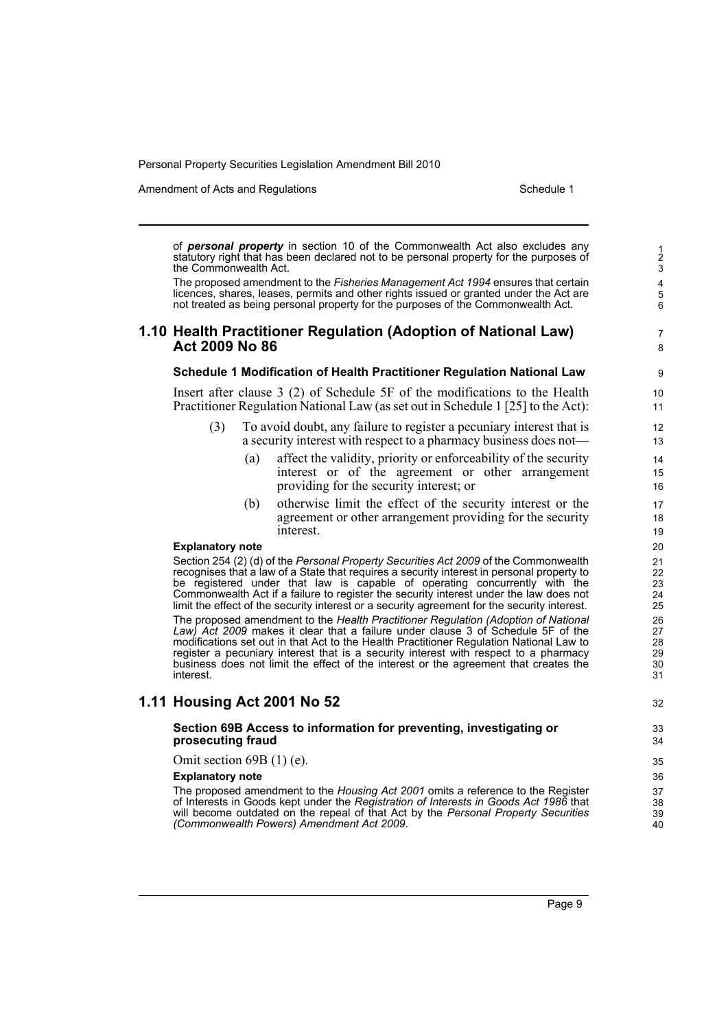Amendment of Acts and Regulations Schedule 1

32

of *personal property* in section 10 of the Commonwealth Act also excludes any statutory right that has been declared not to be personal property for the purposes of the Commonwealth Act.

The proposed amendment to the *Fisheries Management Act 1994* ensures that certain licences, shares, leases, permits and other rights issued or granted under the Act are not treated as being personal property for the purposes of the Commonwealth Act.

### **1.10 Health Practitioner Regulation (Adoption of National Law) Act 2009 No 86**

#### **Schedule 1 Modification of Health Practitioner Regulation National Law**

Insert after clause 3 (2) of Schedule 5F of the modifications to the Health Practitioner Regulation National Law (as set out in Schedule 1 [25] to the Act):

- (3) To avoid doubt, any failure to register a pecuniary interest that is a security interest with respect to a pharmacy business does not—
	- (a) affect the validity, priority or enforceability of the security interest or of the agreement or other arrangement providing for the security interest; or
	- (b) otherwise limit the effect of the security interest or the agreement or other arrangement providing for the security interest.

#### **Explanatory note**

Section 254 (2) (d) of the *Personal Property Securities Act 2009* of the Commonwealth recognises that a law of a State that requires a security interest in personal property to be registered under that law is capable of operating concurrently with the Commonwealth Act if a failure to register the security interest under the law does not limit the effect of the security interest or a security agreement for the security interest. The proposed amendment to the *Health Practitioner Regulation (Adoption of National Law) Act 2009* makes it clear that a failure under clause 3 of Schedule 5F of the modifications set out in that Act to the Health Practitioner Regulation National Law to register a pecuniary interest that is a security interest with respect to a pharmacy business does not limit the effect of the interest or the agreement that creates the interest.

### **1.11 Housing Act 2001 No 52**

#### **Section 69B Access to information for preventing, investigating or prosecuting fraud**

Omit section 69B (1) (e).

#### **Explanatory note**

The proposed amendment to the *Housing Act 2001* omits a reference to the Register of Interests in Goods kept under the *Registration of Interests in Goods Act 1986* that will become outdated on the repeal of that Act by the *Personal Property Securities (Commonwealth Powers) Amendment Act 2009*.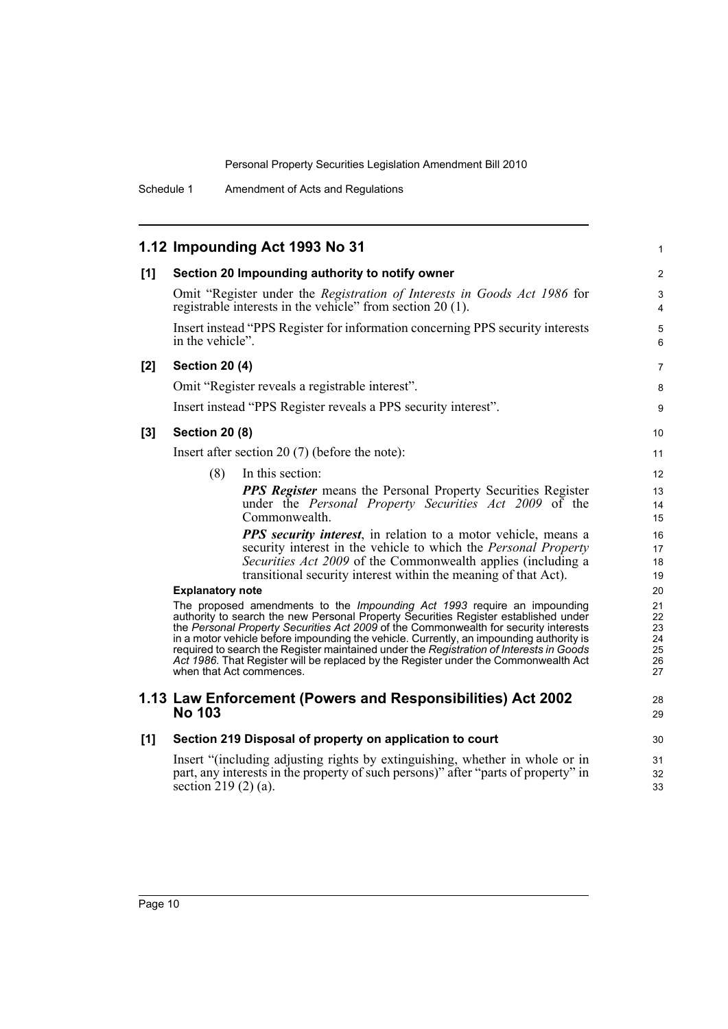|     | 1.12 Impounding Act 1993 No 31                                                                                                                                                     | 1                 |
|-----|------------------------------------------------------------------------------------------------------------------------------------------------------------------------------------|-------------------|
| [1] | Section 20 Impounding authority to notify owner                                                                                                                                    | 2                 |
|     | Omit "Register under the Registration of Interests in Goods Act 1986 for<br>registrable interests in the vehicle" from section $20(1)$ .                                           | 3<br>4            |
|     | Insert instead "PPS Register for information concerning PPS security interests<br>in the vehicle".                                                                                 | 5<br>6            |
| [2] | <b>Section 20 (4)</b>                                                                                                                                                              | 7                 |
|     | Omit "Register reveals a registrable interest".                                                                                                                                    | 8                 |
|     | Insert instead "PPS Register reveals a PPS security interest".                                                                                                                     | 9                 |
| [3] | <b>Section 20 (8)</b>                                                                                                                                                              | 10                |
|     | Insert after section 20 $(7)$ (before the note):                                                                                                                                   | 11                |
|     | (8)<br>In this section:                                                                                                                                                            | $12 \overline{ }$ |
|     | <b>PPS Register</b> means the Personal Property Securities Register                                                                                                                | 13                |
|     | under the <i>Personal Property Securities Act 2009</i> of the                                                                                                                      | 14                |
|     | Commonwealth.                                                                                                                                                                      | 15                |
|     | <b>PPS</b> security interest, in relation to a motor vehicle, means a                                                                                                              | 16                |
|     | security interest in the vehicle to which the Personal Property                                                                                                                    | 17                |
|     | Securities Act 2009 of the Commonwealth applies (including a<br>transitional security interest within the meaning of that Act).                                                    | 18<br>19          |
|     | <b>Explanatory note</b>                                                                                                                                                            | 20                |
|     | The proposed amendments to the <i>Impounding Act 1993</i> require an impounding                                                                                                    | 21                |
|     | authority to search the new Personal Property Securities Register established under                                                                                                | 22                |
|     | the Personal Property Securities Act 2009 of the Commonwealth for security interests                                                                                               | 23                |
|     | in a motor vehicle before impounding the vehicle. Currently, an impounding authority is<br>required to search the Register maintained under the Registration of Interests in Goods | 24<br>25          |
|     | Act 1986. That Register will be replaced by the Register under the Commonwealth Act                                                                                                | 26                |
|     | when that Act commences.                                                                                                                                                           | 27                |
|     | 1.13 Law Enforcement (Powers and Responsibilities) Act 2002                                                                                                                        | 28                |
|     | <b>No 103</b>                                                                                                                                                                      | 29                |
| [1] | Section 219 Disposal of property on application to court                                                                                                                           | 30                |
|     | Insert "(including adjusting rights by extinguishing, whether in whole or in                                                                                                       | 31                |
|     | part, any interests in the property of such persons)" after "parts of property" in                                                                                                 | 32                |
|     | section 219 $(2)$ $(a)$ .                                                                                                                                                          | 33                |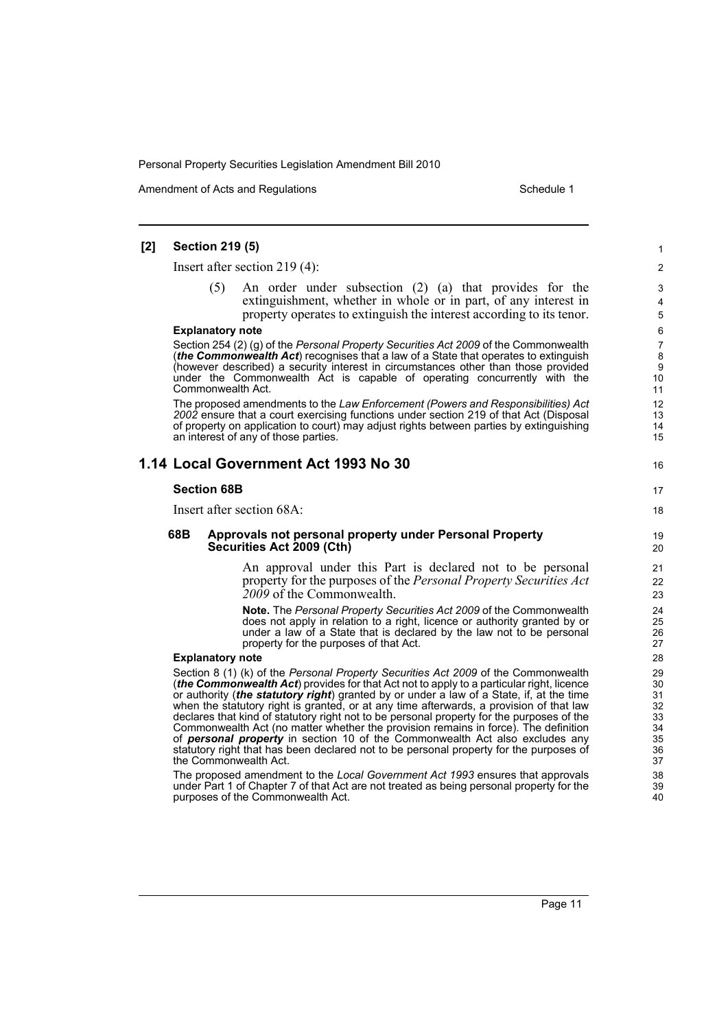Amendment of Acts and Regulations Schedule 1

16

17 18

### **[2] Section 219 (5)**

Insert after section 219 (4):

An order under subsection (2) (a) that provides for the extinguishment, whether in whole or in part, of any interest in property operates to extinguish the interest according to its tenor.

#### **Explanatory note**

Section 254 (2) (g) of the *Personal Property Securities Act 2009* of the Commonwealth (*the Commonwealth Act*) recognises that a law of a State that operates to extinguish (however described) a security interest in circumstances other than those provided under the Commonwealth Act is capable of operating concurrently with the Commonwealth Act.

The proposed amendments to the *Law Enforcement (Powers and Responsibilities) Act 2002* ensure that a court exercising functions under section 219 of that Act (Disposal of property on application to court) may adjust rights between parties by extinguishing an interest of any of those parties.

### **1.14 Local Government Act 1993 No 30**

#### **Section 68B**

Insert after section 68A:

#### **68B Approvals not personal property under Personal Property Securities Act 2009 (Cth)**

An approval under this Part is declared not to be personal property for the purposes of the *Personal Property Securities Act 2009* of the Commonwealth.

**Note.** The *Personal Property Securities Act 2009* of the Commonwealth does not apply in relation to a right, licence or authority granted by or under a law of a State that is declared by the law not to be personal property for the purposes of that Act.

#### **Explanatory note**

Section 8 (1) (k) of the *Personal Property Securities Act 2009* of the Commonwealth (*the Commonwealth Act*) provides for that Act not to apply to a particular right, licence or authority (*the statutory right*) granted by or under a law of a State, if, at the time when the statutory right is granted, or at any time afterwards, a provision of that law declares that kind of statutory right not to be personal property for the purposes of the Commonwealth Act (no matter whether the provision remains in force). The definition of *personal property* in section 10 of the Commonwealth Act also excludes any statutory right that has been declared not to be personal property for the purposes of the Commonwealth Act.

The proposed amendment to the *Local Government Act 1993* ensures that approvals under Part 1 of Chapter 7 of that Act are not treated as being personal property for the purposes of the Commonwealth Act.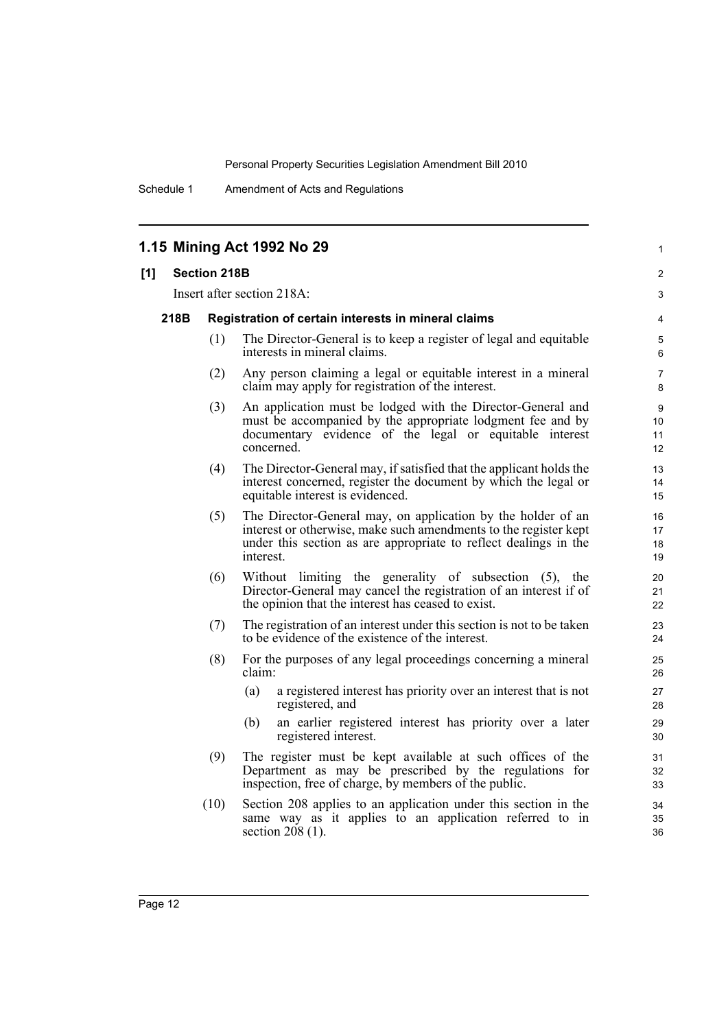36

Schedule 1 Amendment of Acts and Regulations

|     |                                                                                           | 1.15 Mining Act 1992 No 29                                                                                                                                                                                        | $\mathbf{1}$                                  |  |  |  |  |
|-----|-------------------------------------------------------------------------------------------|-------------------------------------------------------------------------------------------------------------------------------------------------------------------------------------------------------------------|-----------------------------------------------|--|--|--|--|
| [1] | <b>Section 218B</b>                                                                       |                                                                                                                                                                                                                   | $\mathbf{2}$                                  |  |  |  |  |
|     | Insert after section 218A:<br>218B<br>Registration of certain interests in mineral claims |                                                                                                                                                                                                                   |                                               |  |  |  |  |
|     |                                                                                           |                                                                                                                                                                                                                   |                                               |  |  |  |  |
|     | (1)                                                                                       | The Director-General is to keep a register of legal and equitable<br>interests in mineral claims.                                                                                                                 |                                               |  |  |  |  |
|     | (2)                                                                                       | Any person claiming a legal or equitable interest in a mineral<br>claim may apply for registration of the interest.                                                                                               | $\overline{7}$<br>8                           |  |  |  |  |
|     | (3)                                                                                       | An application must be lodged with the Director-General and<br>must be accompanied by the appropriate lodgment fee and by<br>documentary evidence of the legal or equitable interest<br>concerned.                | 9<br>10 <sup>°</sup><br>11<br>12 <sup>2</sup> |  |  |  |  |
|     | (4)                                                                                       | The Director-General may, if satisfied that the applicant holds the<br>interest concerned, register the document by which the legal or<br>equitable interest is evidenced.                                        | 13<br>14<br>15 <sub>15</sub>                  |  |  |  |  |
|     | (5)                                                                                       | The Director-General may, on application by the holder of an<br>interest or otherwise, make such amendments to the register kept<br>under this section as are appropriate to reflect dealings in the<br>interest. | 16<br>17<br>18<br>19                          |  |  |  |  |
|     | (6)                                                                                       | Without limiting the generality of subsection (5), the<br>Director-General may cancel the registration of an interest if of<br>the opinion that the interest has ceased to exist.                                 | 20<br>21<br>22                                |  |  |  |  |
|     | (7)                                                                                       | The registration of an interest under this section is not to be taken<br>to be evidence of the existence of the interest.                                                                                         | 23<br>24                                      |  |  |  |  |
|     | (8)                                                                                       | For the purposes of any legal proceedings concerning a mineral<br>claim:                                                                                                                                          | 25<br>26                                      |  |  |  |  |
|     |                                                                                           | (a)<br>a registered interest has priority over an interest that is not<br>registered, and                                                                                                                         | 27<br>28                                      |  |  |  |  |
|     |                                                                                           | an earlier registered interest has priority over a later<br>(b)<br>registered interest.                                                                                                                           | 29<br>30                                      |  |  |  |  |
|     | (9)                                                                                       | The register must be kept available at such offices of the<br>Department as may be prescribed by the regulations for<br>inspection, free of charge, by members of the public.                                     | 31<br>32<br>33                                |  |  |  |  |
|     | (10)                                                                                      | Section 208 applies to an application under this section in the<br>same way as it applies to an application referred to in                                                                                        | 34<br>35                                      |  |  |  |  |

section 208 (1).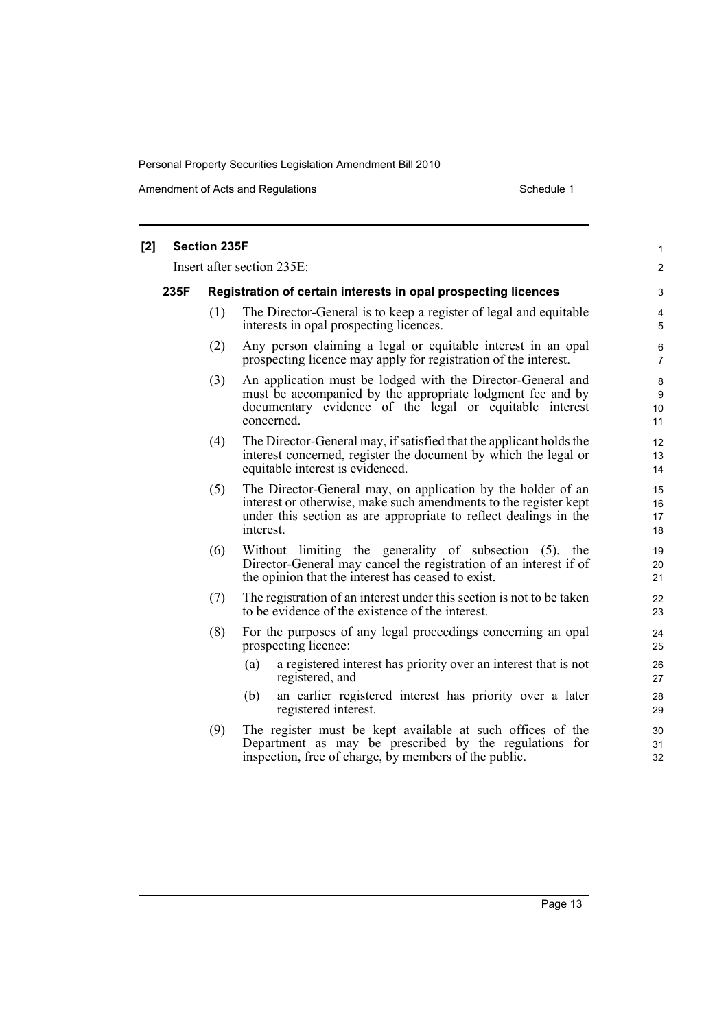| [2] |      | <b>Section 235F</b>                                            |                                                                                                                                                                                                                   | $\mathbf{1}$              |  |  |  |  |
|-----|------|----------------------------------------------------------------|-------------------------------------------------------------------------------------------------------------------------------------------------------------------------------------------------------------------|---------------------------|--|--|--|--|
|     |      |                                                                | Insert after section 235E:                                                                                                                                                                                        | $\overline{c}$            |  |  |  |  |
|     | 235F | Registration of certain interests in opal prospecting licences |                                                                                                                                                                                                                   |                           |  |  |  |  |
|     |      | (1)                                                            | The Director-General is to keep a register of legal and equitable<br>interests in opal prospecting licences.                                                                                                      | $\overline{4}$<br>5       |  |  |  |  |
|     |      | (2)                                                            | Any person claiming a legal or equitable interest in an opal<br>prospecting licence may apply for registration of the interest.                                                                                   | $\,6\,$<br>$\overline{7}$ |  |  |  |  |
|     |      | (3)                                                            | An application must be lodged with the Director-General and<br>must be accompanied by the appropriate lodgment fee and by<br>documentary evidence of the legal or equitable interest<br>concerned.                | 8<br>9<br>10<br>11        |  |  |  |  |
|     |      | (4)                                                            | The Director-General may, if satisfied that the applicant holds the<br>interest concerned, register the document by which the legal or<br>equitable interest is evidenced.                                        | 12<br>13<br>14            |  |  |  |  |
|     |      | (5)                                                            | The Director-General may, on application by the holder of an<br>interest or otherwise, make such amendments to the register kept<br>under this section as are appropriate to reflect dealings in the<br>interest. | 15<br>16<br>17<br>18      |  |  |  |  |
|     |      | (6)                                                            | Without limiting the generality of subsection (5), the<br>Director-General may cancel the registration of an interest if of<br>the opinion that the interest has ceased to exist.                                 | 19<br>20<br>21            |  |  |  |  |
|     |      | (7)                                                            | The registration of an interest under this section is not to be taken<br>to be evidence of the existence of the interest.                                                                                         | 22<br>23                  |  |  |  |  |
|     |      | (8)                                                            | For the purposes of any legal proceedings concerning an opal<br>prospecting licence:                                                                                                                              | 24<br>25                  |  |  |  |  |
|     |      |                                                                | a registered interest has priority over an interest that is not<br>(a)<br>registered, and                                                                                                                         | 26<br>27                  |  |  |  |  |
|     |      |                                                                | an earlier registered interest has priority over a later<br>(b)<br>registered interest.                                                                                                                           | 28<br>29                  |  |  |  |  |
|     |      | (9)                                                            | The register must be kept available at such offices of the<br>Department as may be prescribed by the regulations for<br>inspection, free of charge, by members of the public.                                     | 30<br>31<br>32            |  |  |  |  |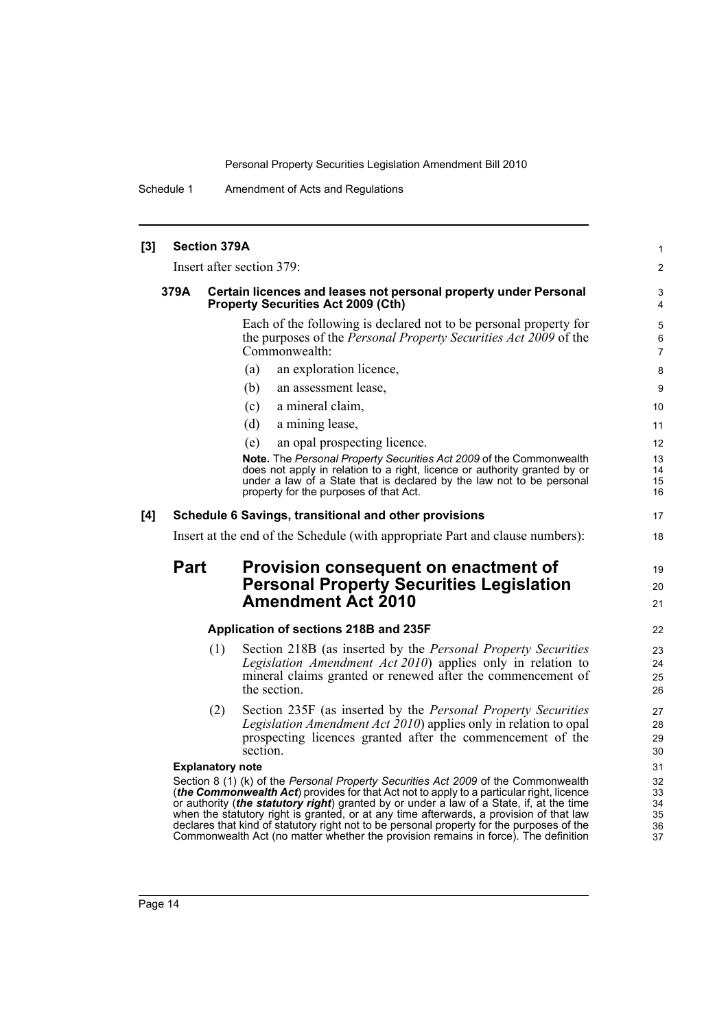1  $\mathfrak{p}$ 

19 20 21

Schedule 1 Amendment of Acts and Regulations

### **[3] Section 379A** Insert after section 379: **379A Certain licences and leases not personal property under Personal Property Securities Act 2009 (Cth)** Each of the following is declared not to be personal property for the purposes of the *Personal Property Securities Act 2009* of the Commonwealth: (a) an exploration licence, (b) an assessment lease, (c) a mineral claim, (d) a mining lease, (e) an opal prospecting licence. **Note.** The *Personal Property Securities Act 2009* of the Commonwealth does not apply in relation to a right, licence or authority granted by or under a law of a State that is declared by the law not to be personal property for the purposes of that Act. **[4] Schedule 6 Savings, transitional and other provisions** Insert at the end of the Schedule (with appropriate Part and clause numbers): **Part Provision consequent on enactment of Personal Property Securities Legislation Amendment Act 2010 Application of sections 218B and 235F** (1) Section 218B (as inserted by the *Personal Property Securities* Legislation Amendment Act 2010) applies only in relation to mineral claims granted or renewed after the commencement of the section. (2) Section 235F (as inserted by the *Personal Property Securities Legislation Amendment Act 2010*) applies only in relation to opal prospecting licences granted after the commencement of the section. **Explanatory note** Section 8 (1) (k) of the *Personal Property Securities Act 2009* of the Commonwealth (*the Commonwealth Act*) provides for that Act not to apply to a particular right, licence or authority (*the statutory right*) granted by or under a law of a State, if, at the time when the statutory right is granted, or at any time afterwards, a provision of that law declares that kind of statutory right not to be personal property for the purposes of the Commonwealth Act (no matter whether the provision remains in force). The definition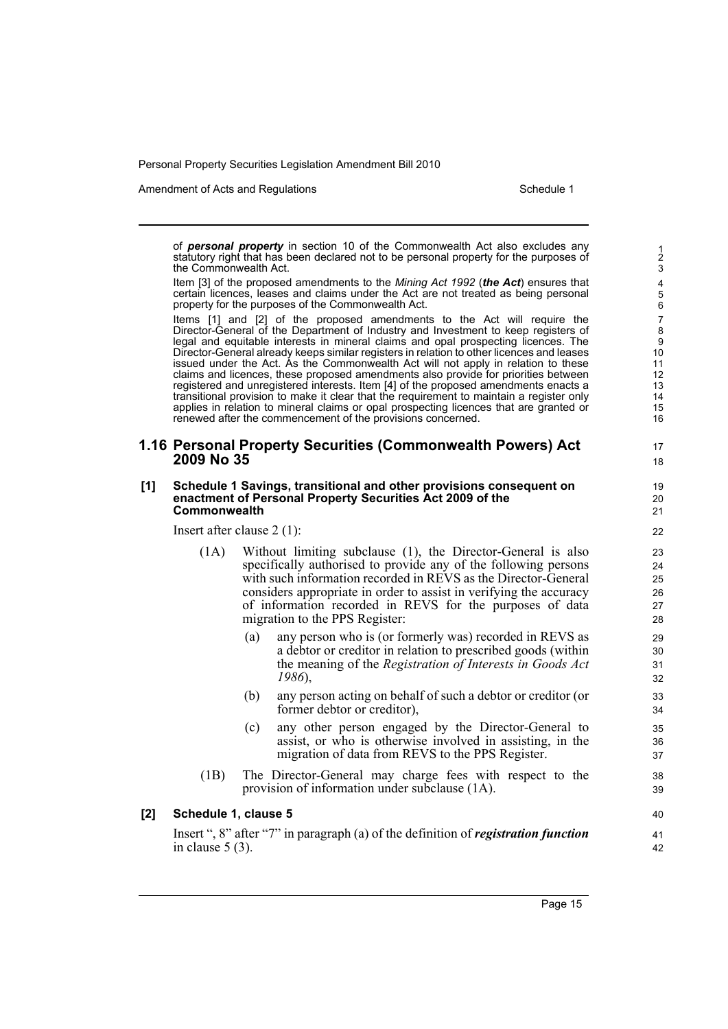Amendment of Acts and Regulations Schedule 1

17 18

of *personal property* in section 10 of the Commonwealth Act also excludes any statutory right that has been declared not to be personal property for the purposes of the Commonwealth Act.

Item [3] of the proposed amendments to the *Mining Act 1992* (*the Act*) ensures that certain licences, leases and claims under the Act are not treated as being personal property for the purposes of the Commonwealth Act.

Items [1] and [2] of the proposed amendments to the Act will require the Director-General of the Department of Industry and Investment to keep registers of legal and equitable interests in mineral claims and opal prospecting licences. The Director-General already keeps similar registers in relation to other licences and leases issued under the Act. As the Commonwealth Act will not apply in relation to these claims and licences, these proposed amendments also provide for priorities between registered and unregistered interests. Item [4] of the proposed amendments enacts a transitional provision to make it clear that the requirement to maintain a register only applies in relation to mineral claims or opal prospecting licences that are granted or renewed after the commencement of the provisions concerned.

### **1.16 Personal Property Securities (Commonwealth Powers) Act 2009 No 35**

#### **[1] Schedule 1 Savings, transitional and other provisions consequent on enactment of Personal Property Securities Act 2009 of the Commonwealth**

Insert after clause 2 (1):

- (1A) Without limiting subclause (1), the Director-General is also specifically authorised to provide any of the following persons with such information recorded in REVS as the Director-General considers appropriate in order to assist in verifying the accuracy of information recorded in REVS for the purposes of data migration to the PPS Register:
	- (a) any person who is (or formerly was) recorded in REVS as a debtor or creditor in relation to prescribed goods (within the meaning of the *Registration of Interests in Goods Act 1986*),
	- (b) any person acting on behalf of such a debtor or creditor (or former debtor or creditor),
	- (c) any other person engaged by the Director-General to assist, or who is otherwise involved in assisting, in the migration of data from REVS to the PPS Register.
- (1B) The Director-General may charge fees with respect to the provision of information under subclause (1A).

#### **[2] Schedule 1, clause 5**

Insert ", 8" after "7" in paragraph (a) of the definition of *registration function* in clause 5 (3).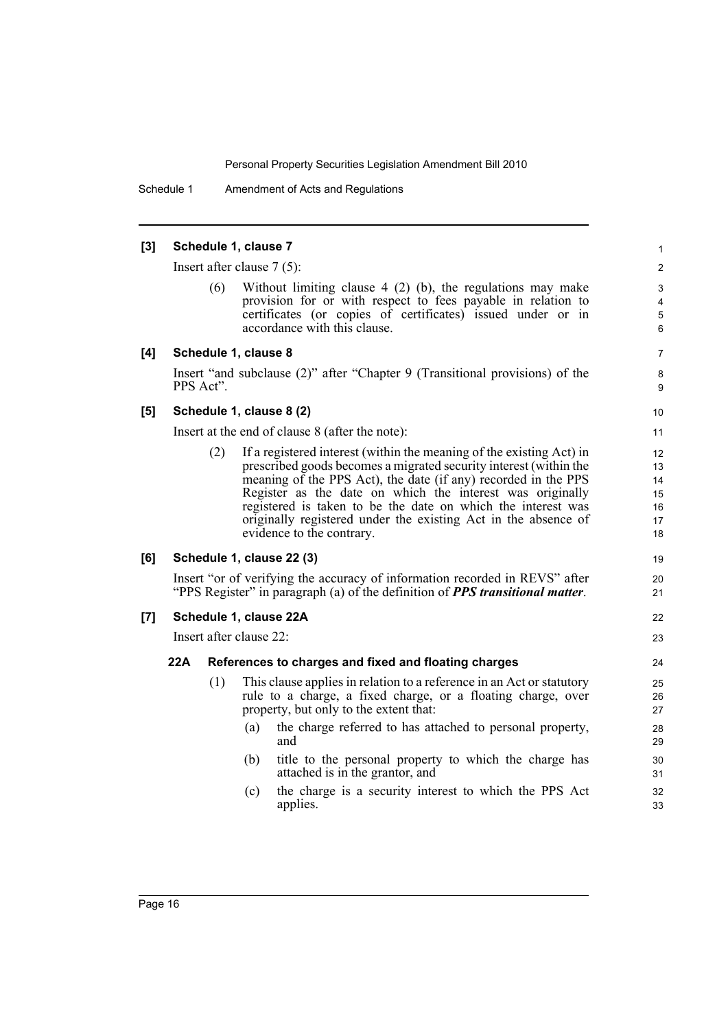Schedule 1 Amendment of Acts and Regulations

#### **[3] Schedule 1, clause 7**

Insert after clause 7 (5):

Without limiting clause  $4$  (2) (b), the regulations may make provision for or with respect to fees payable in relation to certificates (or copies of certificates) issued under or in accordance with this clause.

### **[4] Schedule 1, clause 8**

Insert "and subclause (2)" after "Chapter 9 (Transitional provisions) of the PPS Act".

### **[5] Schedule 1, clause 8 (2)**

Insert at the end of clause 8 (after the note):

(2) If a registered interest (within the meaning of the existing Act) in prescribed goods becomes a migrated security interest (within the meaning of the PPS Act), the date (if any) recorded in the PPS Register as the date on which the interest was originally registered is taken to be the date on which the interest was originally registered under the existing Act in the absence of evidence to the contrary.

#### **[6] Schedule 1, clause 22 (3)**

Insert "or of verifying the accuracy of information recorded in REVS" after "PPS Register" in paragraph (a) of the definition of *PPS transitional matter*.

#### **[7] Schedule 1, clause 22A**

Insert after clause 22:

#### **22A References to charges and fixed and floating charges**

- (1) This clause applies in relation to a reference in an Act or statutory rule to a charge, a fixed charge, or a floating charge, over property, but only to the extent that:
	- (a) the charge referred to has attached to personal property, and
	- (b) title to the personal property to which the charge has attached is in the grantor, and
	- (c) the charge is a security interest to which the PPS Act applies.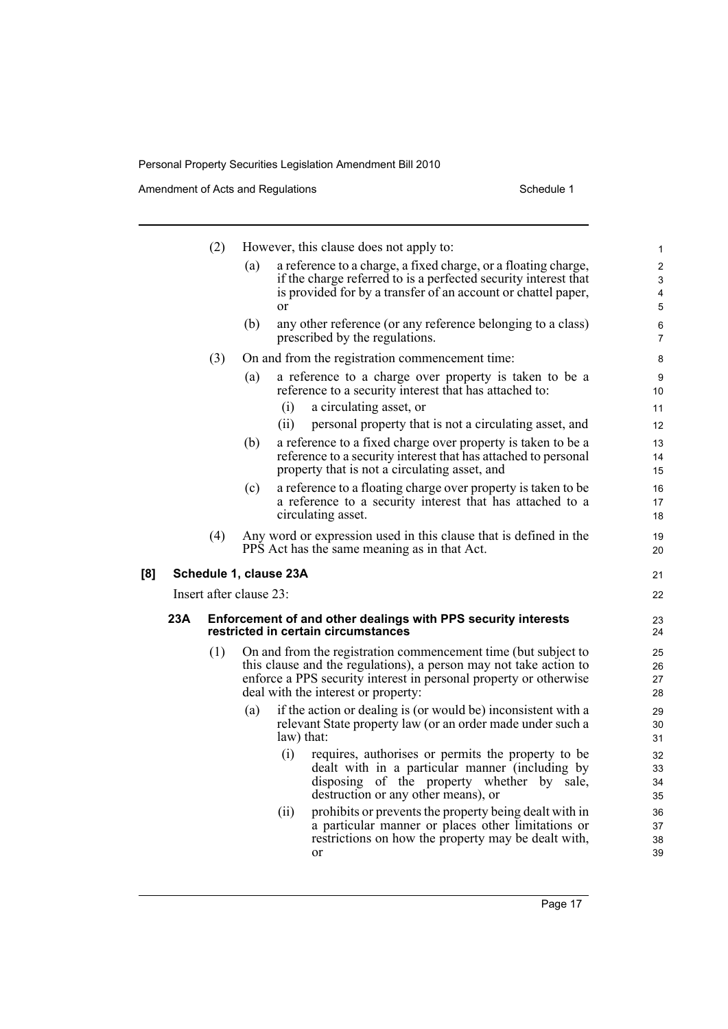|     |     | (2)                                                           |     |                        | However, this clause does not apply to:                                                                                     | 1                   |
|-----|-----|---------------------------------------------------------------|-----|------------------------|-----------------------------------------------------------------------------------------------------------------------------|---------------------|
|     |     |                                                               | (a) |                        | a reference to a charge, a fixed charge, or a floating charge,                                                              | $\overline{2}$      |
|     |     |                                                               |     |                        | if the charge referred to is a perfected security interest that                                                             | 3                   |
|     |     |                                                               |     | <sub>or</sub>          | is provided for by a transfer of an account or chattel paper,                                                               | 4<br>5              |
|     |     |                                                               |     |                        |                                                                                                                             |                     |
|     |     |                                                               | (b) |                        | any other reference (or any reference belonging to a class)<br>prescribed by the regulations.                               | 6<br>$\overline{7}$ |
|     |     | (3)                                                           |     |                        | On and from the registration commencement time:                                                                             | 8                   |
|     |     |                                                               | (a) |                        | a reference to a charge over property is taken to be a<br>reference to a security interest that has attached to:            | 9<br>10             |
|     |     |                                                               |     | (i)                    | a circulating asset, or                                                                                                     | 11                  |
|     |     |                                                               |     | (ii)                   | personal property that is not a circulating asset, and                                                                      | 12                  |
|     |     |                                                               | (b) |                        | a reference to a fixed charge over property is taken to be a                                                                | 13                  |
|     |     |                                                               |     |                        | reference to a security interest that has attached to personal<br>property that is not a circulating asset, and             | 14<br>15            |
|     |     |                                                               | (c) |                        | a reference to a floating charge over property is taken to be                                                               | 16                  |
|     |     |                                                               |     |                        | a reference to a security interest that has attached to a                                                                   | 17                  |
|     |     |                                                               |     |                        | circulating asset.                                                                                                          | 18                  |
|     |     | (4)                                                           |     |                        | Any word or expression used in this clause that is defined in the<br>PPS Act has the same meaning as in that Act.           | 19<br>20            |
| [8] |     |                                                               |     | Schedule 1, clause 23A |                                                                                                                             | 21                  |
|     |     | Insert after clause 23:                                       |     |                        |                                                                                                                             | 22                  |
|     | 23A | Enforcement of and other dealings with PPS security interests |     |                        |                                                                                                                             | 23                  |
|     |     |                                                               |     |                        | restricted in certain circumstances                                                                                         | 24                  |
|     |     | (1)                                                           |     |                        | On and from the registration commencement time (but subject to                                                              | 25                  |
|     |     |                                                               |     |                        | this clause and the regulations), a person may not take action to                                                           | 26                  |
|     |     |                                                               |     |                        | enforce a PPS security interest in personal property or otherwise<br>deal with the interest or property:                    | 27<br>28            |
|     |     |                                                               |     |                        |                                                                                                                             |                     |
|     |     |                                                               | (a) |                        | if the action or dealing is (or would be) inconsistent with a<br>relevant State property law (or an order made under such a | 29<br>30            |
|     |     |                                                               |     | law) that:             |                                                                                                                             | 31                  |
|     |     |                                                               |     | (i)                    | requires, authorises or permits the property to be                                                                          | 32                  |
|     |     |                                                               |     |                        | dealt with in a particular manner (including by                                                                             | 33                  |
|     |     |                                                               |     |                        | disposing of the property whether by sale,                                                                                  | 34                  |
|     |     |                                                               |     |                        | destruction or any other means), or                                                                                         | 35                  |
|     |     |                                                               |     | (ii)                   | prohibits or prevents the property being dealt with in                                                                      | 36                  |
|     |     |                                                               |     |                        | a particular manner or places other limitations or                                                                          | 37                  |
|     |     |                                                               |     |                        | restrictions on how the property may be dealt with,<br>or                                                                   | 38<br>39            |
|     |     |                                                               |     |                        |                                                                                                                             |                     |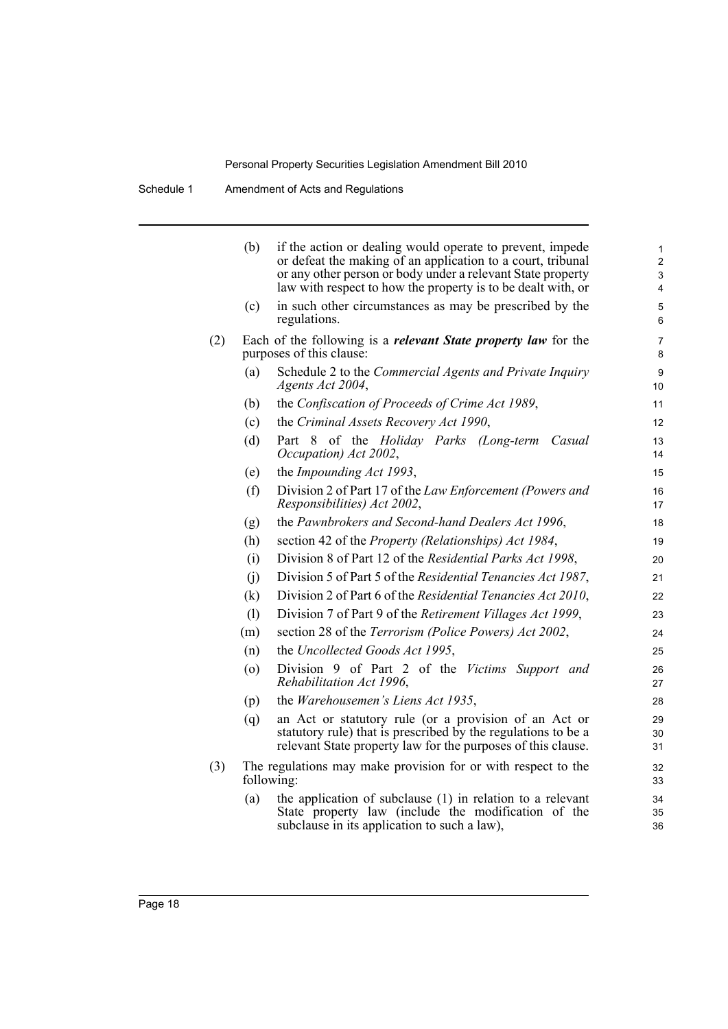|     | (b)        | if the action or dealing would operate to prevent, impede<br>or defeat the making of an application to a court, tribunal<br>or any other person or body under a relevant State property<br>law with respect to how the property is to be dealt with, or | 1<br>$\overline{2}$<br>3<br>$\overline{4}$ |
|-----|------------|---------------------------------------------------------------------------------------------------------------------------------------------------------------------------------------------------------------------------------------------------------|--------------------------------------------|
|     | (c)        | in such other circumstances as may be prescribed by the<br>regulations.                                                                                                                                                                                 | 5<br>6                                     |
| (2) |            | Each of the following is a <i>relevant State property law</i> for the<br>purposes of this clause:                                                                                                                                                       | 7<br>8                                     |
|     | (a)        | Schedule 2 to the Commercial Agents and Private Inquiry<br>Agents Act 2004,                                                                                                                                                                             | 9<br>10                                    |
|     | (b)        | the Confiscation of Proceeds of Crime Act 1989,                                                                                                                                                                                                         | 11                                         |
|     | (c)        | the Criminal Assets Recovery Act 1990,                                                                                                                                                                                                                  | 12                                         |
|     | (d)        | Part 8 of the Holiday Parks (Long-term<br>Casual<br>Occupation) Act 2002,                                                                                                                                                                               | 13<br>14                                   |
|     | (e)        | the Impounding Act 1993,                                                                                                                                                                                                                                | 15                                         |
|     | (f)        | Division 2 of Part 17 of the Law Enforcement (Powers and<br>Responsibilities) Act 2002,                                                                                                                                                                 | 16<br>17                                   |
|     | (g)        | the Pawnbrokers and Second-hand Dealers Act 1996,                                                                                                                                                                                                       | 18                                         |
|     | (h)        | section 42 of the Property (Relationships) Act 1984,                                                                                                                                                                                                    | 19                                         |
|     | (i)        | Division 8 of Part 12 of the Residential Parks Act 1998,                                                                                                                                                                                                | 20                                         |
|     | (i)        | Division 5 of Part 5 of the Residential Tenancies Act 1987,                                                                                                                                                                                             | 21                                         |
|     | (k)        | Division 2 of Part 6 of the Residential Tenancies Act 2010,                                                                                                                                                                                             | 22                                         |
|     | (1)        | Division 7 of Part 9 of the Retirement Villages Act 1999,                                                                                                                                                                                               | 23                                         |
|     | (m)        | section 28 of the Terrorism (Police Powers) Act 2002,                                                                                                                                                                                                   | 24                                         |
|     | (n)        | the Uncollected Goods Act 1995,                                                                                                                                                                                                                         | 25                                         |
|     | (0)        | Division 9 of Part 2 of the Victims Support and<br>Rehabilitation Act 1996,                                                                                                                                                                             | 26<br>27                                   |
|     | (p)        | the Warehousemen's Liens Act 1935,                                                                                                                                                                                                                      | 28                                         |
|     | (q)        | an Act or statutory rule (or a provision of an Act or<br>statutory rule) that is prescribed by the regulations to be a<br>relevant State property law for the purposes of this clause.                                                                  | 29<br>30<br>31                             |
| (3) | following: | The regulations may make provision for or with respect to the                                                                                                                                                                                           | 32<br>33                                   |
|     | (a)        | the application of subclause $(1)$ in relation to a relevant<br>State property law (include the modification of the<br>subclause in its application to such a law),                                                                                     | 34<br>35<br>36                             |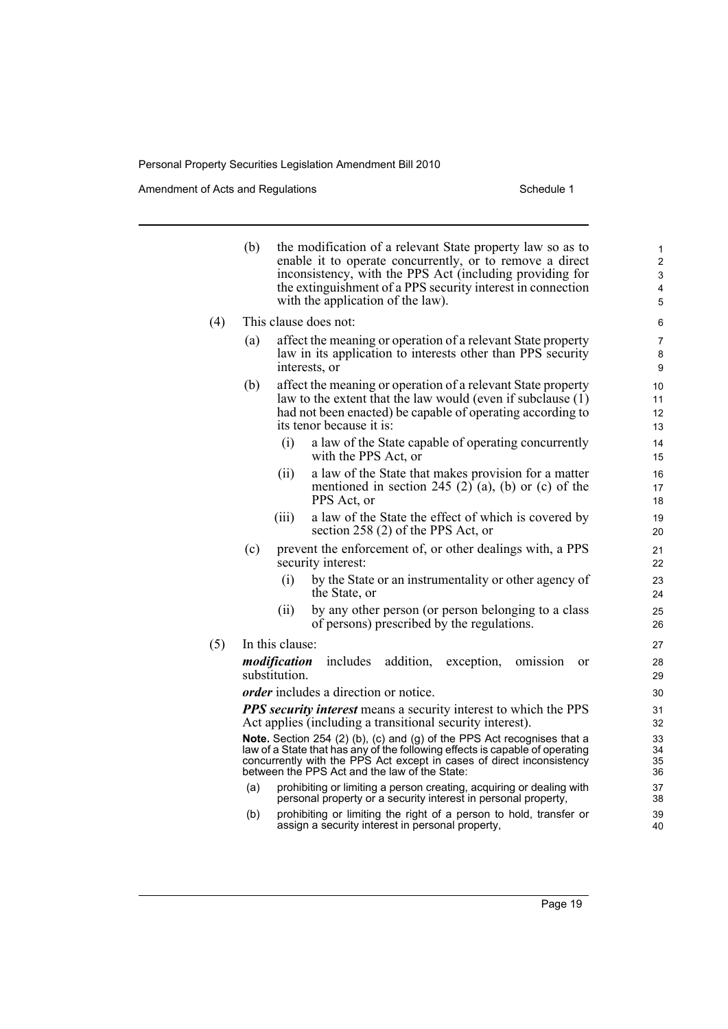Amendment of Acts and Regulations Schedule 1

| the modification of a relevant State property law so as to<br>1<br>enable it to operate concurrently, or to remove a direct<br>$\overline{2}$<br>inconsistency, with the PPS Act (including providing for<br>3<br>the extinguishment of a PPS security interest in connection<br>4<br>$\mathbf 5$<br>6<br>affect the meaning or operation of a relevant State property<br>7<br>law in its application to interests other than PPS security<br>8<br>9<br>affect the meaning or operation of a relevant State property<br>10<br>law to the extent that the law would (even if subclause (1)<br>11<br>had not been enacted) be capable of operating according to<br>12 |
|---------------------------------------------------------------------------------------------------------------------------------------------------------------------------------------------------------------------------------------------------------------------------------------------------------------------------------------------------------------------------------------------------------------------------------------------------------------------------------------------------------------------------------------------------------------------------------------------------------------------------------------------------------------------|
|                                                                                                                                                                                                                                                                                                                                                                                                                                                                                                                                                                                                                                                                     |
|                                                                                                                                                                                                                                                                                                                                                                                                                                                                                                                                                                                                                                                                     |
|                                                                                                                                                                                                                                                                                                                                                                                                                                                                                                                                                                                                                                                                     |
| 13                                                                                                                                                                                                                                                                                                                                                                                                                                                                                                                                                                                                                                                                  |
| a law of the State capable of operating concurrently<br>14<br>15                                                                                                                                                                                                                                                                                                                                                                                                                                                                                                                                                                                                    |
| a law of the State that makes provision for a matter<br>16<br>mentioned in section 245 (2) (a), (b) or (c) of the<br>17<br>18                                                                                                                                                                                                                                                                                                                                                                                                                                                                                                                                       |
| a law of the State the effect of which is covered by<br>19<br>20                                                                                                                                                                                                                                                                                                                                                                                                                                                                                                                                                                                                    |
| prevent the enforcement of, or other dealings with, a PPS<br>21<br>22                                                                                                                                                                                                                                                                                                                                                                                                                                                                                                                                                                                               |
| by the State or an instrumentality or other agency of<br>23<br>24                                                                                                                                                                                                                                                                                                                                                                                                                                                                                                                                                                                                   |
| by any other person (or person belonging to a class<br>25<br>26                                                                                                                                                                                                                                                                                                                                                                                                                                                                                                                                                                                                     |
| 27                                                                                                                                                                                                                                                                                                                                                                                                                                                                                                                                                                                                                                                                  |
| <sub>or</sub><br>28<br>29                                                                                                                                                                                                                                                                                                                                                                                                                                                                                                                                                                                                                                           |
| 30                                                                                                                                                                                                                                                                                                                                                                                                                                                                                                                                                                                                                                                                  |
| <b>PPS</b> security interest means a security interest to which the PPS<br>31<br>32                                                                                                                                                                                                                                                                                                                                                                                                                                                                                                                                                                                 |
| Note. Section 254 (2) (b), (c) and (g) of the PPS Act recognises that a<br>33<br>law of a State that has any of the following effects is capable of operating<br>34<br>concurrently with the PPS Act except in cases of direct inconsistency<br>35<br>36                                                                                                                                                                                                                                                                                                                                                                                                            |
| prohibiting or limiting a person creating, acquiring or dealing with<br>37<br>38                                                                                                                                                                                                                                                                                                                                                                                                                                                                                                                                                                                    |
| prohibiting or limiting the right of a person to hold, transfer or<br>39<br>40                                                                                                                                                                                                                                                                                                                                                                                                                                                                                                                                                                                      |
|                                                                                                                                                                                                                                                                                                                                                                                                                                                                                                                                                                                                                                                                     |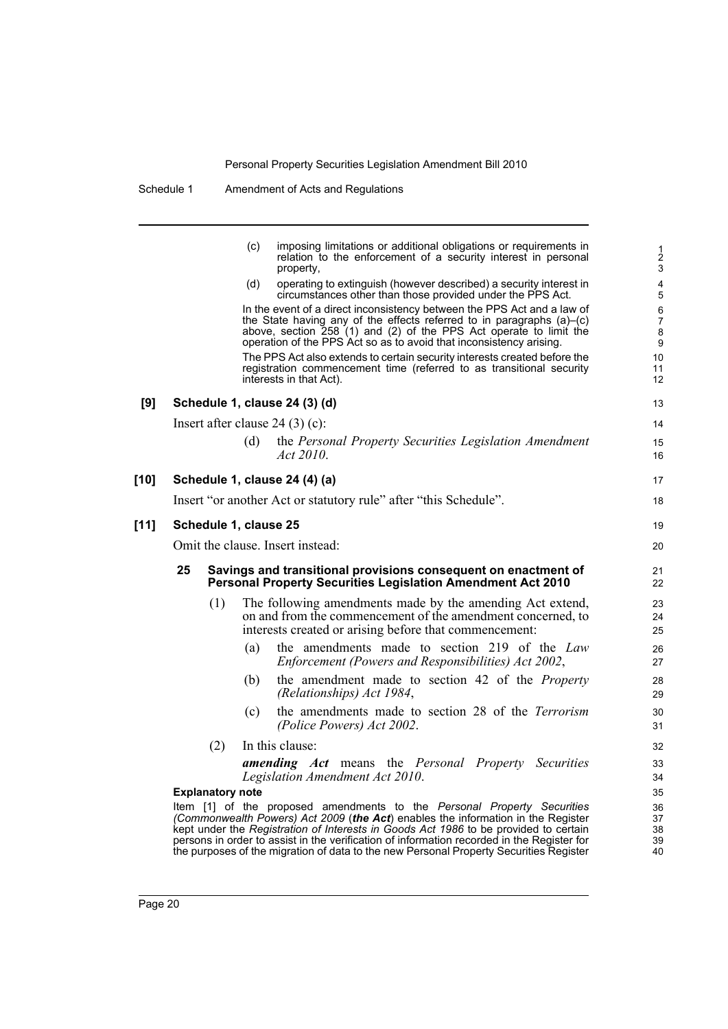| Schedule 1 | Amendment of Acts and Regulations |
|------------|-----------------------------------|
|------------|-----------------------------------|

|        |    |                         | (c) | imposing limitations or additional obligations or requirements in<br>relation to the enforcement of a security interest in personal<br>property,                                                                                                                                                                                                                                                                                            | $\frac{1}{2}$<br>$\mathsf 3$        |
|--------|----|-------------------------|-----|---------------------------------------------------------------------------------------------------------------------------------------------------------------------------------------------------------------------------------------------------------------------------------------------------------------------------------------------------------------------------------------------------------------------------------------------|-------------------------------------|
|        |    |                         | (d) | operating to extinguish (however described) a security interest in<br>circumstances other than those provided under the PPS Act.                                                                                                                                                                                                                                                                                                            | 4<br>$\sqrt{5}$                     |
|        |    |                         |     | In the event of a direct inconsistency between the PPS Act and a law of<br>the State having any of the effects referred to in paragraphs $(a)$ – $(c)$<br>above, section 258 (1) and (2) of the PPS Act operate to limit the<br>operation of the PPS Act so as to avoid that inconsistency arising.                                                                                                                                         | $\,6\,$<br>$\overline{7}$<br>8<br>9 |
|        |    |                         |     | The PPS Act also extends to certain security interests created before the<br>registration commencement time (referred to as transitional security<br>interests in that Act).                                                                                                                                                                                                                                                                | 10<br>11<br>12                      |
| [9]    |    |                         |     | Schedule 1, clause 24 (3) (d)                                                                                                                                                                                                                                                                                                                                                                                                               | 13                                  |
|        |    |                         |     | Insert after clause $24(3)(c)$ :                                                                                                                                                                                                                                                                                                                                                                                                            | 14                                  |
|        |    |                         | (d) | the Personal Property Securities Legislation Amendment<br>Act 2010.                                                                                                                                                                                                                                                                                                                                                                         | 15<br>16                            |
| [10]   |    |                         |     | Schedule 1, clause 24 (4) (a)                                                                                                                                                                                                                                                                                                                                                                                                               | 17                                  |
|        |    |                         |     | Insert "or another Act or statutory rule" after "this Schedule".                                                                                                                                                                                                                                                                                                                                                                            | 18                                  |
| $[11]$ |    | Schedule 1, clause 25   |     |                                                                                                                                                                                                                                                                                                                                                                                                                                             | 19                                  |
|        |    |                         |     | Omit the clause. Insert instead:                                                                                                                                                                                                                                                                                                                                                                                                            | 20                                  |
|        | 25 |                         |     | Savings and transitional provisions consequent on enactment of<br><b>Personal Property Securities Legislation Amendment Act 2010</b>                                                                                                                                                                                                                                                                                                        | 21<br>22                            |
|        |    | (1)                     |     | The following amendments made by the amending Act extend,<br>on and from the commencement of the amendment concerned, to<br>interests created or arising before that commencement:                                                                                                                                                                                                                                                          | 23<br>24<br>25                      |
|        |    |                         | (a) | the amendments made to section 219 of the Law<br>Enforcement (Powers and Responsibilities) Act 2002,                                                                                                                                                                                                                                                                                                                                        | 26<br>27                            |
|        |    |                         | (b) | the amendment made to section 42 of the Property<br>(Relationships) Act 1984,                                                                                                                                                                                                                                                                                                                                                               | 28<br>29                            |
|        |    |                         | (c) | the amendments made to section 28 of the <i>Terrorism</i><br>(Police Powers) Act 2002.                                                                                                                                                                                                                                                                                                                                                      | 30<br>31                            |
|        |    | (2)                     |     | In this clause:                                                                                                                                                                                                                                                                                                                                                                                                                             | 32                                  |
|        |    |                         |     | <b>amending Act</b> means the Personal Property Securities<br>Legislation Amendment Act 2010.                                                                                                                                                                                                                                                                                                                                               | 33<br>34                            |
|        |    | <b>Explanatory note</b> |     |                                                                                                                                                                                                                                                                                                                                                                                                                                             | 35                                  |
|        |    |                         |     | Item [1] of the proposed amendments to the Personal Property Securities<br>(Commonwealth Powers) Act 2009 (the Act) enables the information in the Register<br>kept under the Registration of Interests in Goods Act 1986 to be provided to certain<br>persons in order to assist in the verification of information recorded in the Register for<br>the purposes of the migration of data to the new Personal Property Securities Register | 36<br>37<br>38<br>39<br>40          |
|        |    |                         |     |                                                                                                                                                                                                                                                                                                                                                                                                                                             |                                     |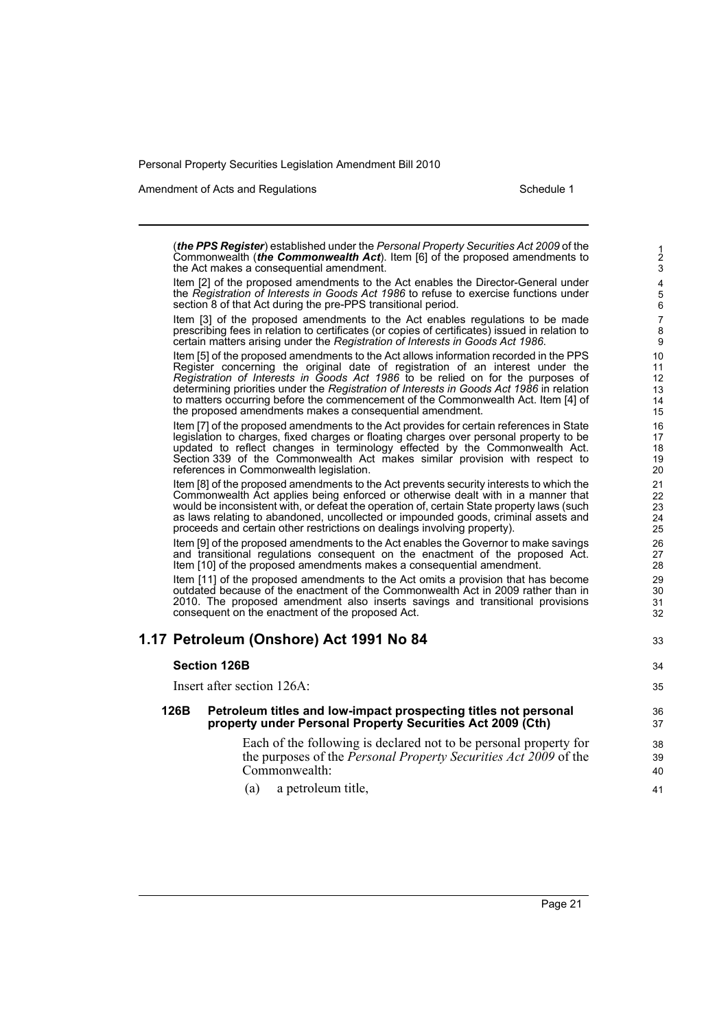Amendment of Acts and Regulations Schedule 1

33

34 35

(*the PPS Register*) established under the *Personal Property Securities Act 2009* of the Commonwealth (*the Commonwealth Act*). Item [6] of the proposed amendments to the Act makes a consequential amendment.

Item [2] of the proposed amendments to the Act enables the Director-General under the *Registration of Interests in Goods Act 1986* to refuse to exercise functions under section 8 of that Act during the pre-PPS transitional period.

Item [3] of the proposed amendments to the Act enables regulations to be made prescribing fees in relation to certificates (or copies of certificates) issued in relation to certain matters arising under the *Registration of Interests in Goods Act 1986*.

Item [5] of the proposed amendments to the Act allows information recorded in the PPS Register concerning the original date of registration of an interest under the *Registration of Interests in Goods Act 1986* to be relied on for the purposes of determining priorities under the *Registration of Interests in Goods Act 1986* in relation to matters occurring before the commencement of the Commonwealth Act. Item [4] of the proposed amendments makes a consequential amendment.

Item [7] of the proposed amendments to the Act provides for certain references in State legislation to charges, fixed charges or floating charges over personal property to be updated to reflect changes in terminology effected by the Commonwealth Act. Section 339 of the Commonwealth Act makes similar provision with respect to references in Commonwealth legislation.

Item [8] of the proposed amendments to the Act prevents security interests to which the Commonwealth Act applies being enforced or otherwise dealt with in a manner that would be inconsistent with, or defeat the operation of, certain State property laws (such as laws relating to abandoned, uncollected or impounded goods, criminal assets and proceeds and certain other restrictions on dealings involving property).

Item [9] of the proposed amendments to the Act enables the Governor to make savings and transitional regulations consequent on the enactment of the proposed Act. Item [10] of the proposed amendments makes a consequential amendment.

Item [11] of the proposed amendments to the Act omits a provision that has become outdated because of the enactment of the Commonwealth Act in 2009 rather than in 2010. The proposed amendment also inserts savings and transitional provisions consequent on the enactment of the proposed Act.

### **1.17 Petroleum (Onshore) Act 1991 No 84**

**Section 126B** Insert after section 126A: **126B Petroleum titles and low-impact prospecting titles not personal property under Personal Property Securities Act 2009 (Cth)** Each of the following is declared not to be personal property for the purposes of the *Personal Property Securities Act 2009* of the Commonwealth:

(a) a petroleum title,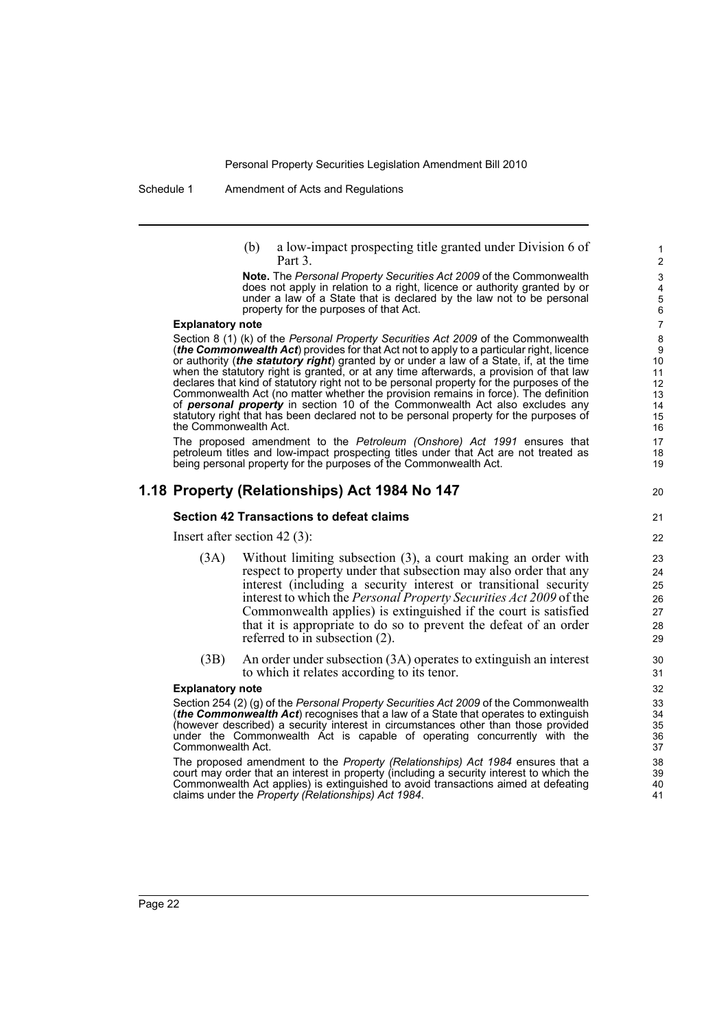Schedule 1 Amendment of Acts and Regulations

(b) a low-impact prospecting title granted under Division 6 of Part 3.

20

**Note.** The *Personal Property Securities Act 2009* of the Commonwealth does not apply in relation to a right, licence or authority granted by or under a law of a State that is declared by the law not to be personal property for the purposes of that Act.

#### **Explanatory note**

Section 8 (1) (k) of the *Personal Property Securities Act 2009* of the Commonwealth (*the Commonwealth Act*) provides for that Act not to apply to a particular right, licence or authority (*the statutory right*) granted by or under a law of a State, if, at the time when the statutory right is granted, or at any time afterwards, a provision of that law declares that kind of statutory right not to be personal property for the purposes of the Commonwealth Act (no matter whether the provision remains in force). The definition of *personal property* in section 10 of the Commonwealth Act also excludes any statutory right that has been declared not to be personal property for the purposes of the Commonwealth Act.

The proposed amendment to the *Petroleum (Onshore) Act 1991* ensures that petroleum titles and low-impact prospecting titles under that Act are not treated as being personal property for the purposes of the Commonwealth Act.

### **1.18 Property (Relationships) Act 1984 No 147**

#### **Section 42 Transactions to defeat claims**

Insert after section 42 (3):

- (3A) Without limiting subsection (3), a court making an order with respect to property under that subsection may also order that any interest (including a security interest or transitional security interest to which the *Personal Property Securities Act 2009* of the Commonwealth applies) is extinguished if the court is satisfied that it is appropriate to do so to prevent the defeat of an order referred to in subsection (2).
- (3B) An order under subsection (3A) operates to extinguish an interest to which it relates according to its tenor.

#### **Explanatory note**

Section 254 (2) (g) of the *Personal Property Securities Act 2009* of the Commonwealth (*the Commonwealth Act*) recognises that a law of a State that operates to extinguish (however described) a security interest in circumstances other than those provided under the Commonwealth Act is capable of operating concurrently with the Commonwealth Act.

The proposed amendment to the *Property (Relationships) Act 1984* ensures that a court may order that an interest in property (including a security interest to which the Commonwealth Act applies) is extinguished to avoid transactions aimed at defeating claims under the *Property (Relationships) Act 1984*.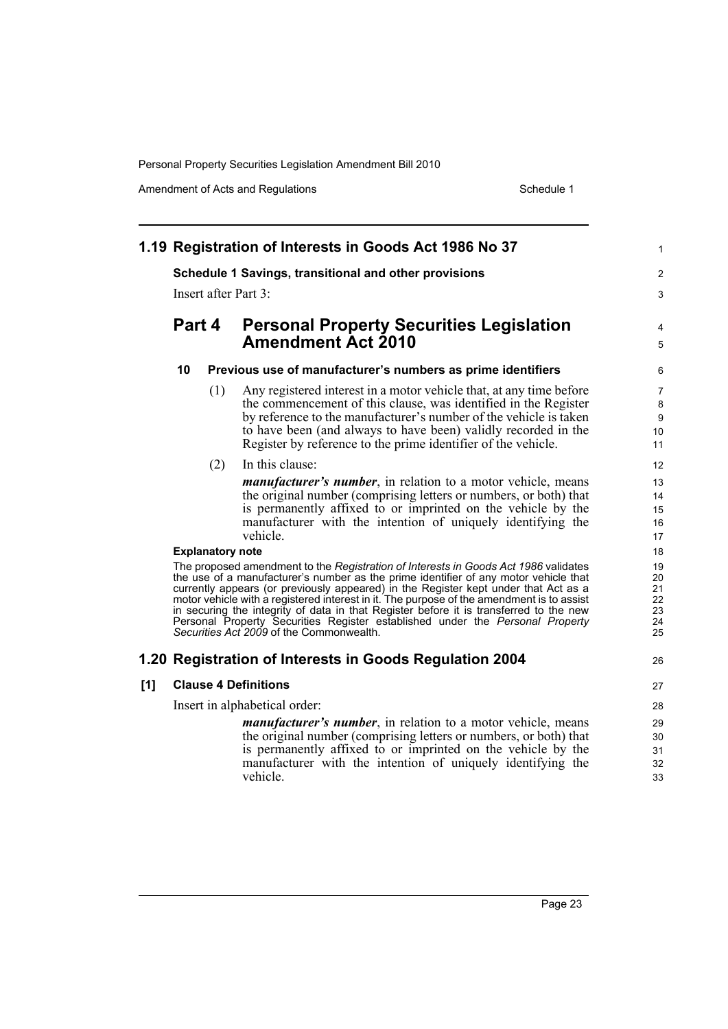|     |                                                                                                                                                                                                                                                                                                                                                                                                                                                                                                                                                                                        |     | 1.19 Registration of Interests in Goods Act 1986 No 37                                                                                                                                                                                                                                                                                         | 1                          |  |  |
|-----|----------------------------------------------------------------------------------------------------------------------------------------------------------------------------------------------------------------------------------------------------------------------------------------------------------------------------------------------------------------------------------------------------------------------------------------------------------------------------------------------------------------------------------------------------------------------------------------|-----|------------------------------------------------------------------------------------------------------------------------------------------------------------------------------------------------------------------------------------------------------------------------------------------------------------------------------------------------|----------------------------|--|--|
|     | Schedule 1 Savings, transitional and other provisions                                                                                                                                                                                                                                                                                                                                                                                                                                                                                                                                  |     |                                                                                                                                                                                                                                                                                                                                                |                            |  |  |
|     | Insert after Part 3:                                                                                                                                                                                                                                                                                                                                                                                                                                                                                                                                                                   |     |                                                                                                                                                                                                                                                                                                                                                |                            |  |  |
|     | Part 4<br>10                                                                                                                                                                                                                                                                                                                                                                                                                                                                                                                                                                           |     | <b>Personal Property Securities Legislation</b><br><b>Amendment Act 2010</b>                                                                                                                                                                                                                                                                   |                            |  |  |
|     |                                                                                                                                                                                                                                                                                                                                                                                                                                                                                                                                                                                        |     | Previous use of manufacturer's numbers as prime identifiers                                                                                                                                                                                                                                                                                    | 6                          |  |  |
|     |                                                                                                                                                                                                                                                                                                                                                                                                                                                                                                                                                                                        | (1) | Any registered interest in a motor vehicle that, at any time before<br>the commencement of this clause, was identified in the Register<br>by reference to the manufacturer's number of the vehicle is taken<br>to have been (and always to have been) validly recorded in the<br>Register by reference to the prime identifier of the vehicle. | 7<br>8<br>9<br>10<br>11    |  |  |
|     | (2)<br>In this clause:                                                                                                                                                                                                                                                                                                                                                                                                                                                                                                                                                                 |     |                                                                                                                                                                                                                                                                                                                                                | 12                         |  |  |
|     |                                                                                                                                                                                                                                                                                                                                                                                                                                                                                                                                                                                        |     | <i>manufacturer's number</i> , in relation to a motor vehicle, means<br>the original number (comprising letters or numbers, or both) that<br>is permanently affixed to or imprinted on the vehicle by the<br>manufacturer with the intention of uniquely identifying the<br>vehicle.                                                           | 13<br>14<br>15<br>16<br>17 |  |  |
|     | <b>Explanatory note</b>                                                                                                                                                                                                                                                                                                                                                                                                                                                                                                                                                                |     |                                                                                                                                                                                                                                                                                                                                                |                            |  |  |
|     | The proposed amendment to the Registration of Interests in Goods Act 1986 validates<br>the use of a manufacturer's number as the prime identifier of any motor vehicle that<br>currently appears (or previously appeared) in the Register kept under that Act as a<br>motor vehicle with a registered interest in it. The purpose of the amendment is to assist<br>in securing the integrity of data in that Register before it is transferred to the new<br>Personal Property Securities Register established under the Personal Property<br>Securities Act 2009 of the Commonwealth. |     |                                                                                                                                                                                                                                                                                                                                                |                            |  |  |
|     |                                                                                                                                                                                                                                                                                                                                                                                                                                                                                                                                                                                        |     | 1.20 Registration of Interests in Goods Regulation 2004                                                                                                                                                                                                                                                                                        | 26                         |  |  |
| [1] | <b>Clause 4 Definitions</b>                                                                                                                                                                                                                                                                                                                                                                                                                                                                                                                                                            |     |                                                                                                                                                                                                                                                                                                                                                |                            |  |  |
|     | Insert in alphabetical order:                                                                                                                                                                                                                                                                                                                                                                                                                                                                                                                                                          |     |                                                                                                                                                                                                                                                                                                                                                |                            |  |  |
|     |                                                                                                                                                                                                                                                                                                                                                                                                                                                                                                                                                                                        |     | <i>manufacturer's number</i> , in relation to a motor vehicle, means<br>the original number (comprising letters or numbers, or both) that<br>is permanently affixed to or imprinted on the vehicle by the<br>manufacturer with the intention of uniquely identifying the<br>vehicle.                                                           | 29<br>30<br>31<br>32<br>33 |  |  |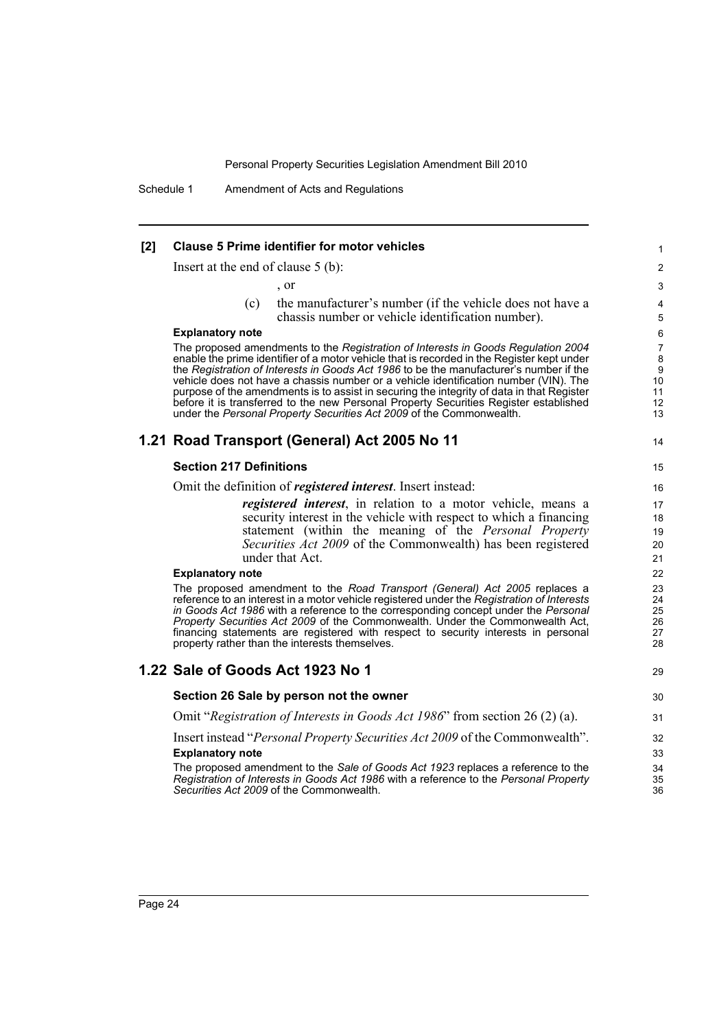Schedule 1 Amendment of Acts and Regulations

#### **[2] Clause 5 Prime identifier for motor vehicles**

Insert at the end of clause 5 (b):

, or

(c) the manufacturer's number (if the vehicle does not have a chassis number or vehicle identification number).

#### **Explanatory note**

The proposed amendments to the *Registration of Interests in Goods Regulation 2004* enable the prime identifier of a motor vehicle that is recorded in the Register kept under the *Registration of Interests in Goods Act 1986* to be the manufacturer's number if the vehicle does not have a chassis number or a vehicle identification number (VIN). The purpose of the amendments is to assist in securing the integrity of data in that Register before it is transferred to the new Personal Property Securities Register established under the *Personal Property Securities Act 2009* of the Commonwealth.

### **1.21 Road Transport (General) Act 2005 No 11**

#### **Section 217 Definitions**

Omit the definition of *registered interest*. Insert instead:

*registered interest*, in relation to a motor vehicle, means a security interest in the vehicle with respect to which a financing statement (within the meaning of the *Personal Property Securities Act 2009* of the Commonwealth) has been registered under that Act.

#### **Explanatory note**

The proposed amendment to the *Road Transport (General) Act 2005* replaces a reference to an interest in a motor vehicle registered under the *Registration of Interests in Goods Act 1986* with a reference to the corresponding concept under the *Personal Property Securities Act 2009* of the Commonwealth. Under the Commonwealth Act, financing statements are registered with respect to security interests in personal property rather than the interests themselves.

#### **1.22 Sale of Goods Act 1923 No 1**

**Section 26 Sale by person not the owner**

29

14

Omit "*Registration of Interests in Goods Act 1986*" from section 26 (2) (a). Insert instead "*Personal Property Securities Act 2009* of the Commonwealth".

#### **Explanatory note**

The proposed amendment to the *Sale of Goods Act 1923* replaces a reference to the *Registration of Interests in Goods Act 1986* with a reference to the *Personal Property Securities Act 2009* of the Commonwealth.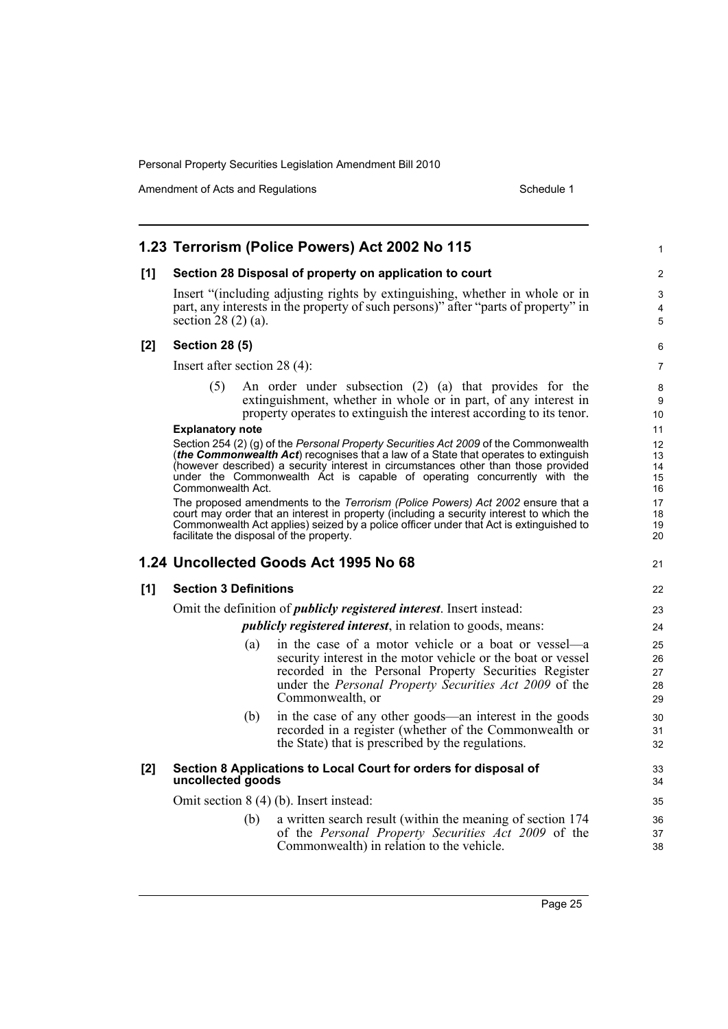|     |                                                                                       | 1.23 Terrorism (Police Powers) Act 2002 No 115                                                                                                                                                                                                                                                                                                | 1                          |  |  |
|-----|---------------------------------------------------------------------------------------|-----------------------------------------------------------------------------------------------------------------------------------------------------------------------------------------------------------------------------------------------------------------------------------------------------------------------------------------------|----------------------------|--|--|
| [1] | Section 28 Disposal of property on application to court                               |                                                                                                                                                                                                                                                                                                                                               |                            |  |  |
|     | section $28(2)(a)$ .                                                                  | Insert "(including adjusting rights by extinguishing, whether in whole or in<br>part, any interests in the property of such persons)" after "parts of property" in                                                                                                                                                                            | 3<br>4<br>5                |  |  |
| [2] | <b>Section 28 (5)</b>                                                                 |                                                                                                                                                                                                                                                                                                                                               |                            |  |  |
|     | Insert after section $28(4)$ :                                                        |                                                                                                                                                                                                                                                                                                                                               |                            |  |  |
|     | (5)                                                                                   | An order under subsection (2) (a) that provides for the<br>extinguishment, whether in whole or in part, of any interest in<br>property operates to extinguish the interest according to its tenor.                                                                                                                                            | 8<br>9<br>10               |  |  |
|     | <b>Explanatory note</b>                                                               |                                                                                                                                                                                                                                                                                                                                               |                            |  |  |
|     | Commonwealth Act.                                                                     | Section 254 (2) (g) of the Personal Property Securities Act 2009 of the Commonwealth<br>(the Commonwealth Act) recognises that a law of a State that operates to extinguish<br>(however described) a security interest in circumstances other than those provided<br>under the Commonwealth Act is capable of operating concurrently with the | 12<br>13<br>14<br>15<br>16 |  |  |
|     | facilitate the disposal of the property.                                              | The proposed amendments to the Terrorism (Police Powers) Act 2002 ensure that a<br>court may order that an interest in property (including a security interest to which the<br>Commonwealth Act applies) seized by a police officer under that Act is extinguished to                                                                         | 17<br>18<br>19<br>20       |  |  |
|     |                                                                                       | 1.24 Uncollected Goods Act 1995 No 68                                                                                                                                                                                                                                                                                                         | 21                         |  |  |
| [1] | <b>Section 3 Definitions</b>                                                          |                                                                                                                                                                                                                                                                                                                                               |                            |  |  |
|     | Omit the definition of <i>publicly registered interest</i> . Insert instead:          |                                                                                                                                                                                                                                                                                                                                               |                            |  |  |
|     | <i>publicly registered interest, in relation to goods, means:</i>                     |                                                                                                                                                                                                                                                                                                                                               |                            |  |  |
|     | (a)                                                                                   | in the case of a motor vehicle or a boat or vessel—a<br>security interest in the motor vehicle or the boat or vessel<br>recorded in the Personal Property Securities Register<br>under the Personal Property Securities Act 2009 of the<br>Commonwealth, or                                                                                   | 25<br>26<br>27<br>28<br>29 |  |  |
|     | (b)                                                                                   | in the case of any other goods—an interest in the goods<br>recorded in a register (whether of the Commonwealth or<br>the State) that is prescribed by the regulations.                                                                                                                                                                        | 30<br>31<br>32             |  |  |
| [2] | Section 8 Applications to Local Court for orders for disposal of<br>uncollected goods |                                                                                                                                                                                                                                                                                                                                               |                            |  |  |
|     | Omit section 8 (4) (b). Insert instead:                                               |                                                                                                                                                                                                                                                                                                                                               |                            |  |  |
|     | (b)                                                                                   | a written search result (within the meaning of section 174<br>of the Personal Property Securities Act 2009 of the<br>Commonwealth) in relation to the vehicle.                                                                                                                                                                                | 36<br>37<br>38             |  |  |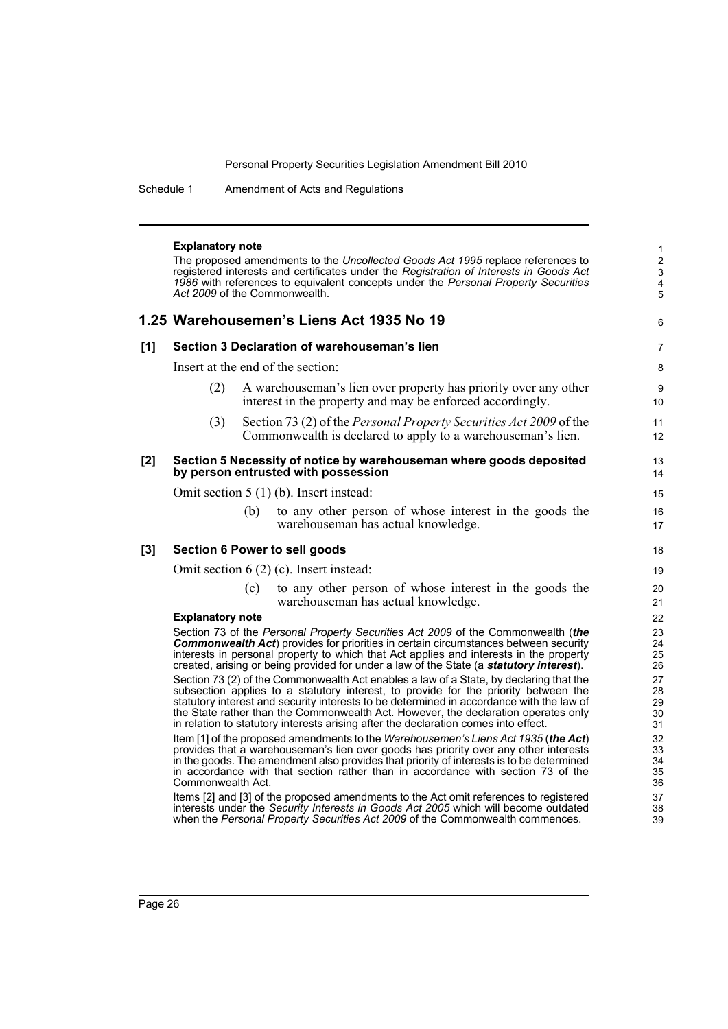38 39

Schedule 1 Amendment of Acts and Regulations

|       | <b>Explanatory note</b><br>The proposed amendments to the Uncollected Goods Act 1995 replace references to<br>registered interests and certificates under the Registration of Interests in Goods Act<br>1986 with references to equivalent concepts under the Personal Property Securities<br>Act 2009 of the Commonwealth.                                                                                                                            |     |                                                                                                                                                                                                                                                                                                                                                            |                                  |  |  |  |
|-------|--------------------------------------------------------------------------------------------------------------------------------------------------------------------------------------------------------------------------------------------------------------------------------------------------------------------------------------------------------------------------------------------------------------------------------------------------------|-----|------------------------------------------------------------------------------------------------------------------------------------------------------------------------------------------------------------------------------------------------------------------------------------------------------------------------------------------------------------|----------------------------------|--|--|--|
|       |                                                                                                                                                                                                                                                                                                                                                                                                                                                        |     | 1.25 Warehousemen's Liens Act 1935 No 19                                                                                                                                                                                                                                                                                                                   | 6                                |  |  |  |
| [1]   | Section 3 Declaration of warehouseman's lien                                                                                                                                                                                                                                                                                                                                                                                                           |     |                                                                                                                                                                                                                                                                                                                                                            |                                  |  |  |  |
|       | Insert at the end of the section:                                                                                                                                                                                                                                                                                                                                                                                                                      |     |                                                                                                                                                                                                                                                                                                                                                            |                                  |  |  |  |
|       | (2)                                                                                                                                                                                                                                                                                                                                                                                                                                                    |     | A warehouse man's lien over property has priority over any other<br>interest in the property and may be enforced accordingly.                                                                                                                                                                                                                              | 9<br>10                          |  |  |  |
|       | (3)                                                                                                                                                                                                                                                                                                                                                                                                                                                    |     | Section 73 (2) of the <i>Personal Property Securities Act 2009</i> of the<br>Commonwealth is declared to apply to a warehouse man's lien.                                                                                                                                                                                                                  | 11<br>12                         |  |  |  |
| [2]   |                                                                                                                                                                                                                                                                                                                                                                                                                                                        |     | Section 5 Necessity of notice by warehouseman where goods deposited<br>by person entrusted with possession                                                                                                                                                                                                                                                 | 13<br>14                         |  |  |  |
|       | Omit section $5(1)(b)$ . Insert instead:                                                                                                                                                                                                                                                                                                                                                                                                               |     |                                                                                                                                                                                                                                                                                                                                                            |                                  |  |  |  |
|       |                                                                                                                                                                                                                                                                                                                                                                                                                                                        | (b) | to any other person of whose interest in the goods the<br>warehouseman has actual knowledge.                                                                                                                                                                                                                                                               | 16<br>17                         |  |  |  |
| $[3]$ |                                                                                                                                                                                                                                                                                                                                                                                                                                                        |     | Section 6 Power to sell goods                                                                                                                                                                                                                                                                                                                              | 18                               |  |  |  |
|       | Omit section $6(2)$ (c). Insert instead:                                                                                                                                                                                                                                                                                                                                                                                                               |     |                                                                                                                                                                                                                                                                                                                                                            |                                  |  |  |  |
|       |                                                                                                                                                                                                                                                                                                                                                                                                                                                        | (c) | to any other person of whose interest in the goods the<br>warehouseman has actual knowledge.                                                                                                                                                                                                                                                               | 20<br>21                         |  |  |  |
|       | <b>Explanatory note</b>                                                                                                                                                                                                                                                                                                                                                                                                                                |     |                                                                                                                                                                                                                                                                                                                                                            | 22<br>23                         |  |  |  |
|       | Section 73 of the Personal Property Securities Act 2009 of the Commonwealth (the<br><b>Commonwealth Act</b> ) provides for priorities in certain circumstances between security<br>interests in personal property to which that Act applies and interests in the property<br>created, arising or being provided for under a law of the State (a statutory interest).                                                                                   |     |                                                                                                                                                                                                                                                                                                                                                            |                                  |  |  |  |
|       | Section 73 (2) of the Commonwealth Act enables a law of a State, by declaring that the<br>subsection applies to a statutory interest, to provide for the priority between the<br>statutory interest and security interests to be determined in accordance with the law of<br>the State rather than the Commonwealth Act. However, the declaration operates only<br>in relation to statutory interests arising after the declaration comes into effect. |     |                                                                                                                                                                                                                                                                                                                                                            |                                  |  |  |  |
|       | Commonwealth Act.                                                                                                                                                                                                                                                                                                                                                                                                                                      |     | Item [1] of the proposed amendments to the Warehousemen's Liens Act 1935 (the Act)<br>provides that a warehouseman's lien over goods has priority over any other interests<br>in the goods. The amendment also provides that priority of interests is to be determined<br>in accordance with that section rather than in accordance with section 73 of the | 31<br>32<br>33<br>34<br>35<br>36 |  |  |  |
|       |                                                                                                                                                                                                                                                                                                                                                                                                                                                        |     | Items [2] and [3] of the proposed amendments to the Act omit references to registered                                                                                                                                                                                                                                                                      | 37                               |  |  |  |

Items [2] and [3] of the proposed amendments to the Act omit references to registered interests under the *Security Interests in Goods Act 2005* which will become outdated when the *Personal Property Securities Act 2009* of the Commonwealth commences.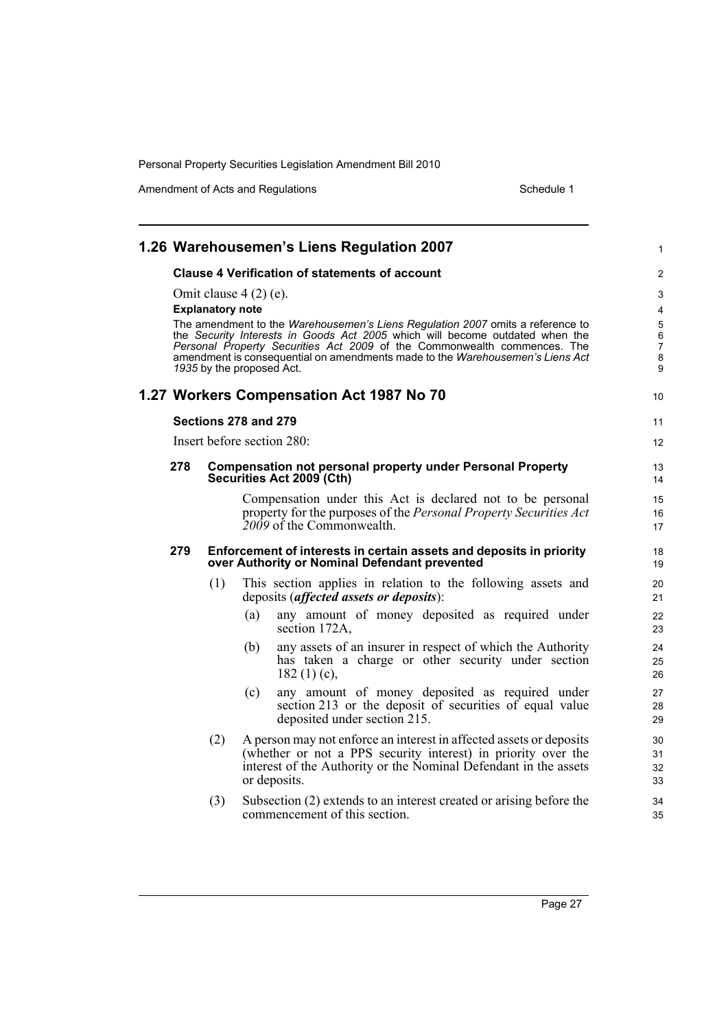|                                                                                                                                                                                                                                                                                                                                                                                                                       |                                                                                                                      |     | 1.26 Warehousemen's Liens Regulation 2007                                                                                                                                                                                | 1                    |  |  |  |
|-----------------------------------------------------------------------------------------------------------------------------------------------------------------------------------------------------------------------------------------------------------------------------------------------------------------------------------------------------------------------------------------------------------------------|----------------------------------------------------------------------------------------------------------------------|-----|--------------------------------------------------------------------------------------------------------------------------------------------------------------------------------------------------------------------------|----------------------|--|--|--|
| <b>Clause 4 Verification of statements of account</b>                                                                                                                                                                                                                                                                                                                                                                 |                                                                                                                      |     |                                                                                                                                                                                                                          |                      |  |  |  |
| Omit clause $4(2)$ (e).<br><b>Explanatory note</b><br>The amendment to the Warehousemen's Liens Regulation 2007 omits a reference to<br>the Security Interests in Goods Act 2005 which will become outdated when the<br>Personal Property Securities Act 2009 of the Commonwealth commences. The<br>amendment is consequential on amendments made to the <i>Warehousemen's Liens Act</i><br>1935 by the proposed Act. |                                                                                                                      |     |                                                                                                                                                                                                                          |                      |  |  |  |
|                                                                                                                                                                                                                                                                                                                                                                                                                       |                                                                                                                      |     | 1.27 Workers Compensation Act 1987 No 70                                                                                                                                                                                 | 10                   |  |  |  |
| Sections 278 and 279                                                                                                                                                                                                                                                                                                                                                                                                  |                                                                                                                      |     |                                                                                                                                                                                                                          |                      |  |  |  |
| Insert before section 280:                                                                                                                                                                                                                                                                                                                                                                                            |                                                                                                                      |     |                                                                                                                                                                                                                          |                      |  |  |  |
| 278                                                                                                                                                                                                                                                                                                                                                                                                                   |                                                                                                                      |     | <b>Compensation not personal property under Personal Property</b><br>Securities Act 2009 (Cth)                                                                                                                           | 13<br>14             |  |  |  |
|                                                                                                                                                                                                                                                                                                                                                                                                                       |                                                                                                                      |     | Compensation under this Act is declared not to be personal<br>property for the purposes of the Personal Property Securities Act<br>$\frac{2009}{9}$ of the Commonwealth.                                                 | 15<br>16<br>17       |  |  |  |
| 279                                                                                                                                                                                                                                                                                                                                                                                                                   | Enforcement of interests in certain assets and deposits in priority<br>over Authority or Nominal Defendant prevented |     |                                                                                                                                                                                                                          |                      |  |  |  |
|                                                                                                                                                                                                                                                                                                                                                                                                                       | (1)                                                                                                                  |     | This section applies in relation to the following assets and<br>deposits (affected assets or deposits):                                                                                                                  | 20<br>21             |  |  |  |
|                                                                                                                                                                                                                                                                                                                                                                                                                       |                                                                                                                      | (a) | any amount of money deposited as required under<br>section 172A,                                                                                                                                                         | 22<br>23             |  |  |  |
|                                                                                                                                                                                                                                                                                                                                                                                                                       |                                                                                                                      | (b) | any assets of an insurer in respect of which the Authority<br>has taken a charge or other security under section<br>182 $(1)(c)$ ,                                                                                       | 24<br>25<br>26       |  |  |  |
|                                                                                                                                                                                                                                                                                                                                                                                                                       |                                                                                                                      | (c) | any amount of money deposited as required under<br>section 213 or the deposit of securities of equal value<br>deposited under section 215.                                                                               | 27<br>28<br>29       |  |  |  |
|                                                                                                                                                                                                                                                                                                                                                                                                                       | (2)                                                                                                                  |     | A person may not enforce an interest in affected assets or deposits<br>(whether or not a PPS security interest) in priority over the<br>interest of the Authority or the Nominal Defendant in the assets<br>or deposits. | 30<br>31<br>32<br>33 |  |  |  |
|                                                                                                                                                                                                                                                                                                                                                                                                                       | (3)                                                                                                                  |     | Subsection (2) extends to an interest created or arising before the<br>commencement of this section.                                                                                                                     | 34<br>35             |  |  |  |